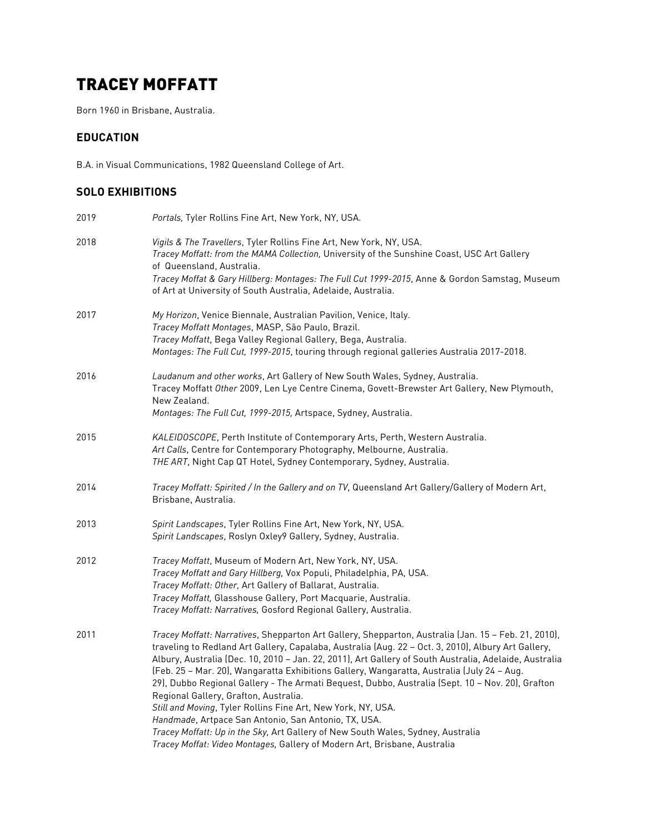# TRACEY MOFFATT

Born 1960 in Brisbane, Australia.

#### **EDUCATION**

B.A. in Visual Communications, 1982 Queensland College of Art.

# **SOLO EXHIBITIONS**

| 2019 | Portals, Tyler Rollins Fine Art, New York, NY, USA.                                                                                                                                                                                                                                                                                                                                                                                                                                                                                                                                                                                                                                                                                                                                                                                                       |
|------|-----------------------------------------------------------------------------------------------------------------------------------------------------------------------------------------------------------------------------------------------------------------------------------------------------------------------------------------------------------------------------------------------------------------------------------------------------------------------------------------------------------------------------------------------------------------------------------------------------------------------------------------------------------------------------------------------------------------------------------------------------------------------------------------------------------------------------------------------------------|
| 2018 | Vigils & The Travellers, Tyler Rollins Fine Art, New York, NY, USA.<br>Tracey Moffatt: from the MAMA Collection, University of the Sunshine Coast, USC Art Gallery<br>of Queensland, Australia.<br>Tracey Moffat & Gary Hillberg: Montages: The Full Cut 1999-2015, Anne & Gordon Samstag, Museum<br>of Art at University of South Australia, Adelaide, Australia.                                                                                                                                                                                                                                                                                                                                                                                                                                                                                        |
| 2017 | My Horizon, Venice Biennale, Australian Pavilion, Venice, Italy.<br>Tracey Moffatt Montages, MASP, São Paulo, Brazil.<br>Tracey Moffatt, Bega Valley Regional Gallery, Bega, Australia.<br>Montages: The Full Cut, 1999-2015, touring through regional galleries Australia 2017-2018.                                                                                                                                                                                                                                                                                                                                                                                                                                                                                                                                                                     |
| 2016 | Laudanum and other works, Art Gallery of New South Wales, Sydney, Australia.<br>Tracey Moffatt Other 2009, Len Lye Centre Cinema, Govett-Brewster Art Gallery, New Plymouth,<br>New Zealand.<br>Montages: The Full Cut, 1999-2015, Artspace, Sydney, Australia.                                                                                                                                                                                                                                                                                                                                                                                                                                                                                                                                                                                           |
| 2015 | KALEIDOSCOPE, Perth Institute of Contemporary Arts, Perth, Western Australia.<br>Art Calls, Centre for Contemporary Photography, Melbourne, Australia.<br>THE ART, Night Cap QT Hotel, Sydney Contemporary, Sydney, Australia.                                                                                                                                                                                                                                                                                                                                                                                                                                                                                                                                                                                                                            |
| 2014 | Tracey Moffatt: Spirited / In the Gallery and on TV, Queensland Art Gallery/Gallery of Modern Art,<br>Brisbane, Australia.                                                                                                                                                                                                                                                                                                                                                                                                                                                                                                                                                                                                                                                                                                                                |
| 2013 | Spirit Landscapes, Tyler Rollins Fine Art, New York, NY, USA.<br>Spirit Landscapes, Roslyn Oxley9 Gallery, Sydney, Australia.                                                                                                                                                                                                                                                                                                                                                                                                                                                                                                                                                                                                                                                                                                                             |
| 2012 | Tracey Moffatt, Museum of Modern Art, New York, NY, USA.<br>Tracey Moffatt and Gary Hillberg, Vox Populi, Philadelphia, PA, USA.<br>Tracey Moffatt: Other, Art Gallery of Ballarat, Australia.<br>Tracey Moffatt, Glasshouse Gallery, Port Macquarie, Australia.<br>Tracey Moffatt: Narratives, Gosford Regional Gallery, Australia.                                                                                                                                                                                                                                                                                                                                                                                                                                                                                                                      |
| 2011 | Tracey Moffatt: Narratives, Shepparton Art Gallery, Shepparton, Australia (Jan. 15 - Feb. 21, 2010),<br>traveling to Redland Art Gallery, Capalaba, Australia (Aug. 22 - Oct. 3, 2010), Albury Art Gallery,<br>Albury, Australia (Dec. 10, 2010 - Jan. 22, 2011), Art Gallery of South Australia, Adelaide, Australia<br>(Feb. 25 - Mar. 20), Wangaratta Exhibitions Gallery, Wangaratta, Australia (July 24 - Aug.<br>29), Dubbo Regional Gallery - The Armati Bequest, Dubbo, Australia (Sept. 10 - Nov. 20), Grafton<br>Regional Gallery, Grafton, Australia.<br>Still and Moving, Tyler Rollins Fine Art, New York, NY, USA.<br>Handmade, Artpace San Antonio, San Antonio, TX, USA.<br>Tracey Moffatt: Up in the Sky, Art Gallery of New South Wales, Sydney, Australia<br>Tracey Moffat: Video Montages, Gallery of Modern Art, Brisbane, Australia |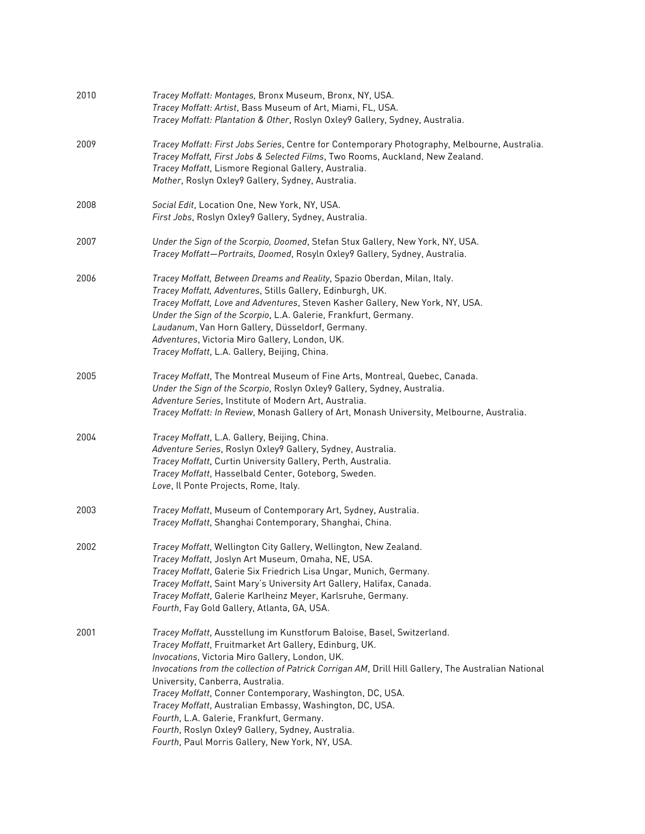| 2010 | Tracey Moffatt: Montages, Bronx Museum, Bronx, NY, USA.<br>Tracey Moffatt: Artist, Bass Museum of Art, Miami, FL, USA.<br>Tracey Moffatt: Plantation & Other, Roslyn Oxley9 Gallery, Sydney, Australia.                                                                                                                                                                                                                                                                                                                                                                                                      |
|------|--------------------------------------------------------------------------------------------------------------------------------------------------------------------------------------------------------------------------------------------------------------------------------------------------------------------------------------------------------------------------------------------------------------------------------------------------------------------------------------------------------------------------------------------------------------------------------------------------------------|
| 2009 | Tracey Moffatt: First Jobs Series, Centre for Contemporary Photography, Melbourne, Australia.<br>Tracey Moffatt, First Jobs & Selected Films, Two Rooms, Auckland, New Zealand.<br>Tracey Moffatt, Lismore Regional Gallery, Australia.<br>Mother, Roslyn Oxley9 Gallery, Sydney, Australia.                                                                                                                                                                                                                                                                                                                 |
| 2008 | Social Edit, Location One, New York, NY, USA.<br>First Jobs, Roslyn Oxley9 Gallery, Sydney, Australia.                                                                                                                                                                                                                                                                                                                                                                                                                                                                                                       |
| 2007 | Under the Sign of the Scorpio, Doomed, Stefan Stux Gallery, New York, NY, USA.<br>Tracey Moffatt-Portraits, Doomed, Rosyln Oxley9 Gallery, Sydney, Australia.                                                                                                                                                                                                                                                                                                                                                                                                                                                |
| 2006 | Tracey Moffatt, Between Dreams and Reality, Spazio Oberdan, Milan, Italy.<br>Tracey Moffatt, Adventures, Stills Gallery, Edinburgh, UK.<br>Tracey Moffatt, Love and Adventures, Steven Kasher Gallery, New York, NY, USA.<br>Under the Sign of the Scorpio, L.A. Galerie, Frankfurt, Germany.<br>Laudanum, Van Horn Gallery, Düsseldorf, Germany.<br>Adventures, Victoria Miro Gallery, London, UK.<br>Tracey Moffatt, L.A. Gallery, Beijing, China.                                                                                                                                                         |
| 2005 | Tracey Moffatt, The Montreal Museum of Fine Arts, Montreal, Quebec, Canada.<br>Under the Sign of the Scorpio, Roslyn Oxley9 Gallery, Sydney, Australia.<br>Adventure Series, Institute of Modern Art, Australia.<br>Tracey Moffatt: In Review, Monash Gallery of Art, Monash University, Melbourne, Australia.                                                                                                                                                                                                                                                                                               |
| 2004 | Tracey Moffatt, L.A. Gallery, Beijing, China.<br>Adventure Series, Roslyn Oxley9 Gallery, Sydney, Australia.<br>Tracey Moffatt, Curtin University Gallery, Perth, Australia.<br>Tracey Moffatt, Hasselbald Center, Goteborg, Sweden.<br>Love, Il Ponte Projects, Rome, Italy.                                                                                                                                                                                                                                                                                                                                |
| 2003 | Tracey Moffatt, Museum of Contemporary Art, Sydney, Australia.<br>Tracey Moffatt, Shanghai Contemporary, Shanghai, China.                                                                                                                                                                                                                                                                                                                                                                                                                                                                                    |
| 2002 | Tracey Moffatt, Wellington City Gallery, Wellington, New Zealand.<br>Tracey Moffatt, Joslyn Art Museum, Omaha, NE, USA.<br>Tracey Moffatt, Galerie Six Friedrich Lisa Ungar, Munich, Germany.<br>Tracey Moffatt, Saint Mary's University Art Gallery, Halifax, Canada.<br>Tracey Moffatt, Galerie Karlheinz Meyer, Karlsruhe, Germany.<br>Fourth, Fay Gold Gallery, Atlanta, GA, USA.                                                                                                                                                                                                                        |
| 2001 | Tracey Moffatt, Ausstellung im Kunstforum Baloise, Basel, Switzerland.<br>Tracey Moffatt, Fruitmarket Art Gallery, Edinburg, UK.<br>Invocations, Victoria Miro Gallery, London, UK.<br>Invocations from the collection of Patrick Corrigan AM, Drill Hill Gallery, The Australian National<br>University, Canberra, Australia.<br>Tracey Moffatt, Conner Contemporary, Washington, DC, USA.<br>Tracey Moffatt, Australian Embassy, Washington, DC, USA.<br>Fourth, L.A. Galerie, Frankfurt, Germany.<br>Fourth, Roslyn Oxley9 Gallery, Sydney, Australia.<br>Fourth, Paul Morris Gallery, New York, NY, USA. |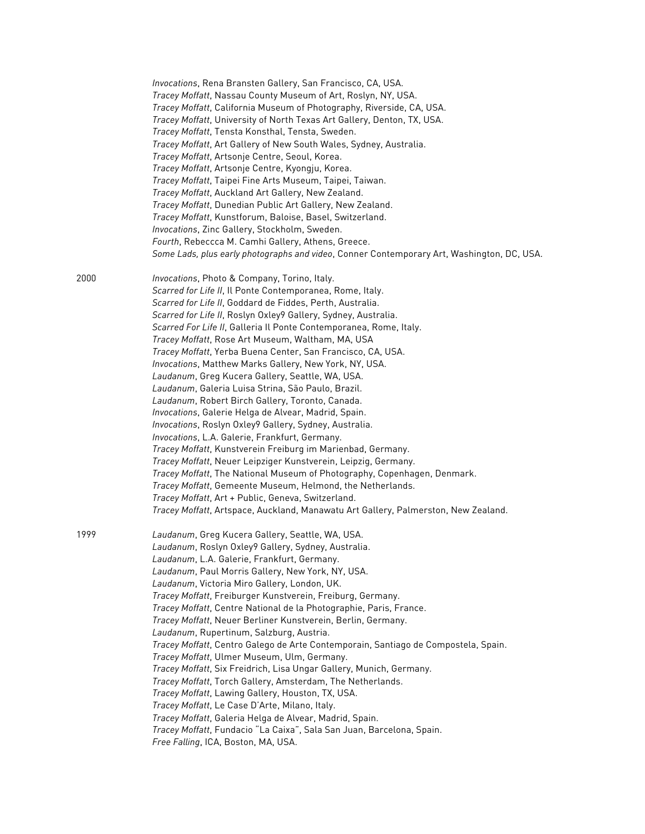|      | Invocations, Rena Bransten Gallery, San Francisco, CA, USA.<br>Tracey Moffatt, Nassau County Museum of Art, Roslyn, NY, USA.<br>Tracey Moffatt, California Museum of Photography, Riverside, CA, USA.<br>Tracey Moffatt, University of North Texas Art Gallery, Denton, TX, USA.<br>Tracey Moffatt, Tensta Konsthal, Tensta, Sweden.<br>Tracey Moffatt, Art Gallery of New South Wales, Sydney, Australia.<br>Tracey Moffatt, Artsonje Centre, Seoul, Korea.<br>Tracey Moffatt, Artsonje Centre, Kyongju, Korea.<br>Tracey Moffatt, Taipei Fine Arts Museum, Taipei, Taiwan.<br>Tracey Moffatt, Auckland Art Gallery, New Zealand.<br>Tracey Moffatt, Dunedian Public Art Gallery, New Zealand.<br>Tracey Moffatt, Kunstforum, Baloise, Basel, Switzerland.<br>Invocations, Zinc Gallery, Stockholm, Sweden.<br>Fourth, Rebeccca M. Camhi Gallery, Athens, Greece.<br>Some Lads, plus early photographs and video, Conner Contemporary Art, Washington, DC, USA.                                                                                                        |
|------|-------------------------------------------------------------------------------------------------------------------------------------------------------------------------------------------------------------------------------------------------------------------------------------------------------------------------------------------------------------------------------------------------------------------------------------------------------------------------------------------------------------------------------------------------------------------------------------------------------------------------------------------------------------------------------------------------------------------------------------------------------------------------------------------------------------------------------------------------------------------------------------------------------------------------------------------------------------------------------------------------------------------------------------------------------------------------|
| 2000 | Invocations, Photo & Company, Torino, Italy.<br>Scarred for Life II, Il Ponte Contemporanea, Rome, Italy.<br>Scarred for Life II, Goddard de Fiddes, Perth, Australia.<br>Scarred for Life II, Roslyn Oxley9 Gallery, Sydney, Australia.<br>Scarred For Life II, Galleria Il Ponte Contemporanea, Rome, Italy.<br>Tracey Moffatt, Rose Art Museum, Waltham, MA, USA<br>Tracey Moffatt, Yerba Buena Center, San Francisco, CA, USA.<br>Invocations, Matthew Marks Gallery, New York, NY, USA.<br>Laudanum, Greg Kucera Gallery, Seattle, WA, USA.<br>Laudanum, Galeria Luisa Strina, São Paulo, Brazil.<br>Laudanum, Robert Birch Gallery, Toronto, Canada.<br>Invocations, Galerie Helga de Alvear, Madrid, Spain.<br>Invocations, Roslyn Oxley9 Gallery, Sydney, Australia.<br>Invocations, L.A. Galerie, Frankfurt, Germany.<br>Tracey Moffatt, Kunstverein Freiburg im Marienbad, Germany.<br>Tracey Moffatt, Neuer Leipziger Kunstverein, Leipzig, Germany.                                                                                                         |
|      | Tracey Moffatt, The National Museum of Photography, Copenhagen, Denmark.<br>Tracey Moffatt, Gemeente Museum, Helmond, the Netherlands.<br>Tracey Moffatt, Art + Public, Geneva, Switzerland.<br>Tracey Moffatt, Artspace, Auckland, Manawatu Art Gallery, Palmerston, New Zealand.                                                                                                                                                                                                                                                                                                                                                                                                                                                                                                                                                                                                                                                                                                                                                                                      |
| 1999 | Laudanum, Greg Kucera Gallery, Seattle, WA, USA.<br>Laudanum, Roslyn Oxley9 Gallery, Sydney, Australia.<br>Laudanum, L.A. Galerie, Frankfurt, Germany.<br>Laudanum, Paul Morris Gallery, New York, NY, USA.<br>Laudanum, Victoria Miro Gallery, London, UK.<br>Tracey Moffatt, Freiburger Kunstverein, Freiburg, Germany.<br>Tracey Moffatt, Centre National de la Photographie, Paris, France.<br>Tracey Moffatt, Neuer Berliner Kunstverein, Berlin, Germany.<br>Laudanum, Rupertinum, Salzburg, Austria.<br>Tracey Moffatt, Centro Galego de Arte Contemporain, Santiago de Compostela, Spain.<br>Tracey Moffatt, Ulmer Museum, Ulm, Germany.<br>Tracey Moffatt, Six Freidrich, Lisa Ungar Gallery, Munich, Germany.<br>Tracey Moffatt, Torch Gallery, Amsterdam, The Netherlands.<br>Tracey Moffatt, Lawing Gallery, Houston, TX, USA.<br>Tracey Moffatt, Le Case D'Arte, Milano, Italy.<br>Tracey Moffatt, Galeria Helga de Alvear, Madrid, Spain.<br>Tracey Moffatt, Fundacio "La Caixa", Sala San Juan, Barcelona, Spain.<br>Free Falling, ICA, Boston, MA, USA. |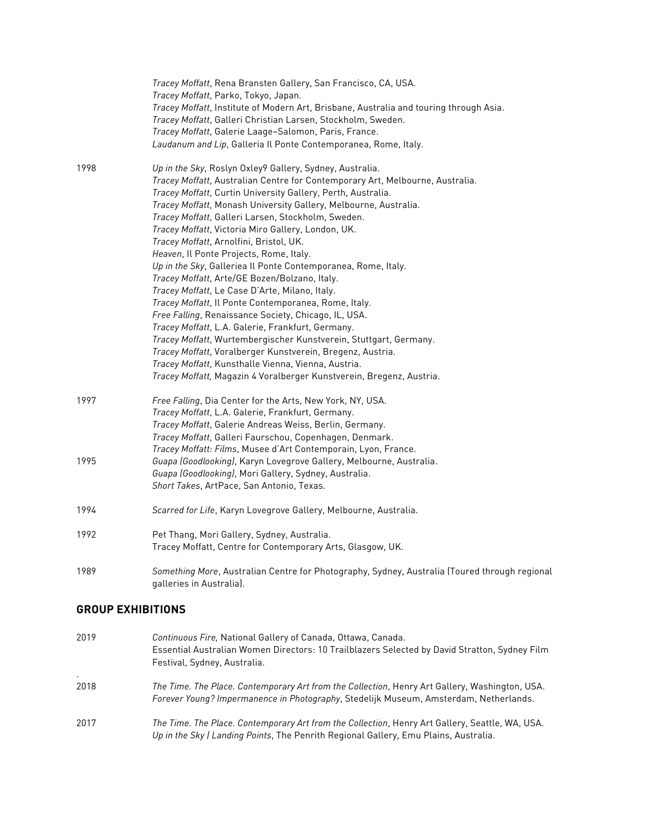|      | Tracey Moffatt, Rena Bransten Gallery, San Francisco, CA, USA.<br>Tracey Moffatt, Parko, Tokyo, Japan.<br>Tracey Moffatt, Institute of Modern Art, Brisbane, Australia and touring through Asia.<br>Tracey Moffatt, Galleri Christian Larsen, Stockholm, Sweden.<br>Tracey Moffatt, Galerie Laage-Salomon, Paris, France.<br>Laudanum and Lip, Galleria Il Ponte Contemporanea, Rome, Italy.                                                                                                                                                                                                                                                                                                                                                                                                                                                                                                                                                                                                                                                                                               |
|------|--------------------------------------------------------------------------------------------------------------------------------------------------------------------------------------------------------------------------------------------------------------------------------------------------------------------------------------------------------------------------------------------------------------------------------------------------------------------------------------------------------------------------------------------------------------------------------------------------------------------------------------------------------------------------------------------------------------------------------------------------------------------------------------------------------------------------------------------------------------------------------------------------------------------------------------------------------------------------------------------------------------------------------------------------------------------------------------------|
| 1998 | Up in the Sky, Roslyn Oxley9 Gallery, Sydney, Australia.<br>Tracey Moffatt, Australian Centre for Contemporary Art, Melbourne, Australia.<br>Tracey Moffatt, Curtin University Gallery, Perth, Australia.<br>Tracey Moffatt, Monash University Gallery, Melbourne, Australia.<br>Tracey Moffatt, Galleri Larsen, Stockholm, Sweden.<br>Tracey Moffatt, Victoria Miro Gallery, London, UK.<br>Tracey Moffatt, Arnolfini, Bristol, UK.<br>Heaven, Il Ponte Projects, Rome, Italy.<br>Up in the Sky, Galleriea Il Ponte Contemporanea, Rome, Italy.<br>Tracey Moffatt, Arte/GE Bozen/Bolzano, Italy.<br>Tracey Moffatt, Le Case D'Arte, Milano, Italy.<br>Tracey Moffatt, Il Ponte Contemporanea, Rome, Italy.<br>Free Falling, Renaissance Society, Chicago, IL, USA.<br>Tracey Moffatt, L.A. Galerie, Frankfurt, Germany.<br>Tracey Moffatt, Wurtembergischer Kunstverein, Stuttgart, Germany.<br>Tracey Moffatt, Voralberger Kunstverein, Bregenz, Austria.<br>Tracey Moffatt, Kunsthalle Vienna, Vienna, Austria.<br>Tracey Moffatt, Magazin 4 Voralberger Kunstverein, Bregenz, Austria. |
| 1997 | Free Falling, Dia Center for the Arts, New York, NY, USA.<br>Tracey Moffatt, L.A. Galerie, Frankfurt, Germany.<br>Tracey Moffatt, Galerie Andreas Weiss, Berlin, Germany.<br>Tracey Moffatt, Galleri Faurschou, Copenhagen, Denmark.<br>Tracey Moffatt: Films, Musee d'Art Contemporain, Lyon, France.                                                                                                                                                                                                                                                                                                                                                                                                                                                                                                                                                                                                                                                                                                                                                                                     |
| 1995 | Guapa (Goodlooking), Karyn Lovegrove Gallery, Melbourne, Australia.<br>Guapa (Goodlooking), Mori Gallery, Sydney, Australia.<br>Short Takes, ArtPace, San Antonio, Texas.                                                                                                                                                                                                                                                                                                                                                                                                                                                                                                                                                                                                                                                                                                                                                                                                                                                                                                                  |
| 1994 | Scarred for Life, Karyn Lovegrove Gallery, Melbourne, Australia.                                                                                                                                                                                                                                                                                                                                                                                                                                                                                                                                                                                                                                                                                                                                                                                                                                                                                                                                                                                                                           |
| 1992 | Pet Thang, Mori Gallery, Sydney, Australia.<br>Tracey Moffatt, Centre for Contemporary Arts, Glasgow, UK.                                                                                                                                                                                                                                                                                                                                                                                                                                                                                                                                                                                                                                                                                                                                                                                                                                                                                                                                                                                  |
| 1989 | Something More, Australian Centre for Photography, Sydney, Australia (Toured through regional<br>galleries in Australia).                                                                                                                                                                                                                                                                                                                                                                                                                                                                                                                                                                                                                                                                                                                                                                                                                                                                                                                                                                  |

# **GROUP EXHIBITIONS**

| 2019           | Continuous Fire, National Gallery of Canada, Ottawa, Canada.<br>Essential Australian Women Directors: 10 Trailblazers Selected by David Stratton, Sydney Film<br>Festival, Sydney, Australia. |
|----------------|-----------------------------------------------------------------------------------------------------------------------------------------------------------------------------------------------|
| $\sim$<br>2018 | The Time. The Place. Contemporary Art from the Collection, Henry Art Gallery, Washington, USA.<br>Forever Young? Impermanence in Photography, Stedelijk Museum, Amsterdam, Netherlands.       |
| 2017           | The Time. The Place. Contemporary Art from the Collection, Henry Art Gallery, Seattle, WA, USA.<br>Up in the Sky / Landing Points, The Penrith Regional Gallery, Emu Plains, Australia.       |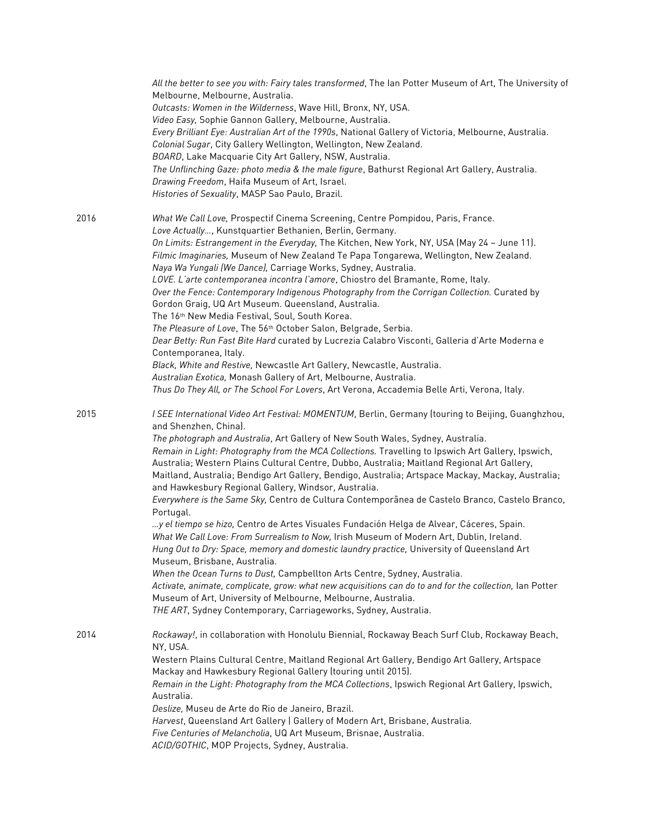|      | All the better to see you with: Fairy tales transformed, The Ian Potter Museum of Art, The University of<br>Melbourne, Melbourne, Australia.<br>Outcasts: Women in the Wilderness, Wave Hill, Bronx, NY, USA.<br>Video Easy, Sophie Gannon Gallery, Melbourne, Australia.<br>Every Brilliant Eye: Australian Art of the 1990s, National Gallery of Victoria, Melbourne, Australia.<br>Colonial Sugar, City Gallery Wellington, Wellington, New Zealand.<br>BOARD, Lake Macquarie City Art Gallery, NSW, Australia.<br>The Unflinching Gaze: photo media & the male figure, Bathurst Regional Art Gallery, Australia.<br>Drawing Freedom, Haifa Museum of Art, Israel.<br>Histories of Sexuality, MASP Sao Paulo, Brazil.                                                                                                                                                                                                                                                                                                                                                                                                                                                                                                                                                                                                                          |
|------|---------------------------------------------------------------------------------------------------------------------------------------------------------------------------------------------------------------------------------------------------------------------------------------------------------------------------------------------------------------------------------------------------------------------------------------------------------------------------------------------------------------------------------------------------------------------------------------------------------------------------------------------------------------------------------------------------------------------------------------------------------------------------------------------------------------------------------------------------------------------------------------------------------------------------------------------------------------------------------------------------------------------------------------------------------------------------------------------------------------------------------------------------------------------------------------------------------------------------------------------------------------------------------------------------------------------------------------------------|
| 2016 | What We Call Love, Prospectif Cinema Screening, Centre Pompidou, Paris, France.<br>Love Actually, Kunstquartier Bethanien, Berlin, Germany.<br>On Limits: Estrangement in the Everyday, The Kitchen, New York, NY, USA (May 24 - June 11).<br>Filmic Imaginaries, Museum of New Zealand Te Papa Tongarewa, Wellington, New Zealand.<br>Naya Wa Yungali (We Dance), Carriage Works, Sydney, Australia.<br>LOVE. L'arte contemporanea incontra l'amore, Chiostro del Bramante, Rome, Italy.<br>Over the Fence: Contemporary Indigenous Photography from the Corrigan Collection. Curated by<br>Gordon Graig, UQ Art Museum. Queensland, Australia.<br>The 16th New Media Festival, Soul, South Korea.<br>The Pleasure of Love, The 56th October Salon, Belgrade, Serbia.<br>Dear Betty: Run Fast Bite Hard curated by Lucrezia Calabro Visconti, Galleria d'Arte Moderna e<br>Contemporanea, Italy.<br>Black, White and Restive, Newcastle Art Gallery, Newcastle, Australia.<br>Australian Exotica, Monash Gallery of Art, Melbourne, Australia.<br>Thus Do They All, or The School For Lovers, Art Verona, Accademia Belle Arti, Verona, Italy.                                                                                                                                                                                                   |
| 2015 | I SEE International Video Art Festival: MOMENTUM, Berlin, Germany (touring to Beijing, Guanghzhou,<br>and Shenzhen, China).<br>The photograph and Australia, Art Gallery of New South Wales, Sydney, Australia.<br>Remain in Light: Photography from the MCA Collections. Travelling to Ipswich Art Gallery, Ipswich,<br>Australia; Western Plains Cultural Centre, Dubbo, Australia; Maitland Regional Art Gallery,<br>Maitland, Australia; Bendigo Art Gallery, Bendigo, Australia; Artspace Mackay, Mackay, Australia;<br>and Hawkesbury Regional Gallery, Windsor, Australia.<br>Everywhere is the Same Sky, Centro de Cultura Contemporânea de Castelo Branco, Castelo Branco,<br>Portugal.<br>y el tiempo se hizo, Centro de Artes Visuales Fundación Helga de Alvear, Cáceres, Spain.<br>What We Call Love: From Surrealism to Now, Irish Museum of Modern Art, Dublin, Ireland.<br>Hung Out to Dry: Space, memory and domestic laundry practice, University of Queensland Art<br>Museum, Brisbane, Australia.<br>When the Ocean Turns to Dust, Campbellton Arts Centre, Sydney, Australia.<br>Activate, animate, complicate, grow: what new acquisitions can do to and for the collection, Ian Potter<br>Museum of Art, University of Melbourne, Melbourne, Australia.<br>THE ART, Sydney Contemporary, Carriageworks, Sydney, Australia. |
| 2014 | Rockaway!, in collaboration with Honolulu Biennial, Rockaway Beach Surf Club, Rockaway Beach,<br>NY, USA.<br>Western Plains Cultural Centre, Maitland Regional Art Gallery, Bendigo Art Gallery, Artspace<br>Mackay and Hawkesbury Regional Gallery (touring until 2015).<br>Remain in the Light: Photography from the MCA Collections, Ipswich Regional Art Gallery, Ipswich,<br>Australia.<br>Deslize, Museu de Arte do Rio de Janeiro, Brazil.<br>Harvest, Queensland Art Gallery   Gallery of Modern Art, Brisbane, Australia.<br>Five Centuries of Melancholia, UQ Art Museum, Brisnae, Australia.<br>ACID/GOTHIC, MOP Projects, Sydney, Australia.                                                                                                                                                                                                                                                                                                                                                                                                                                                                                                                                                                                                                                                                                          |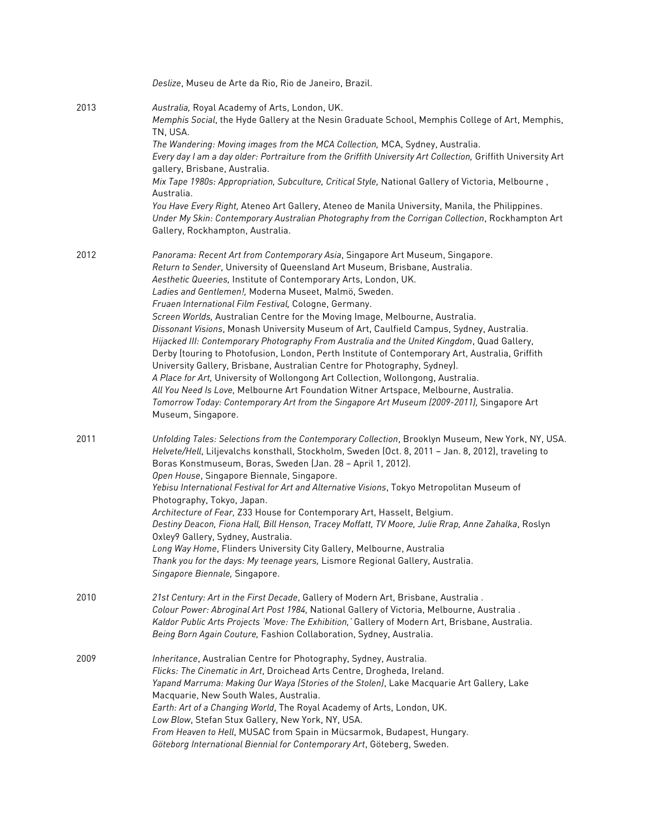|      | Deslize, Museu de Arte da Rio, Rio de Janeiro, Brazil.                                                                                                                                                                                                                                                                                                                                                                                                                                                                                                                                                                                                                                                                                                                                                                                                                                                                                                                                                                                                                                                       |
|------|--------------------------------------------------------------------------------------------------------------------------------------------------------------------------------------------------------------------------------------------------------------------------------------------------------------------------------------------------------------------------------------------------------------------------------------------------------------------------------------------------------------------------------------------------------------------------------------------------------------------------------------------------------------------------------------------------------------------------------------------------------------------------------------------------------------------------------------------------------------------------------------------------------------------------------------------------------------------------------------------------------------------------------------------------------------------------------------------------------------|
| 2013 | Australia, Royal Academy of Arts, London, UK.<br>Memphis Social, the Hyde Gallery at the Nesin Graduate School, Memphis College of Art, Memphis,<br>TN, USA.<br>The Wandering: Moving images from the MCA Collection, MCA, Sydney, Australia.<br>Every day I am a day older: Portraiture from the Griffith University Art Collection, Griffith University Art<br>gallery, Brisbane, Australia.<br>Mix Tape 1980s: Appropriation, Subculture, Critical Style, National Gallery of Victoria, Melbourne,<br>Australia.<br>You Have Every Right, Ateneo Art Gallery, Ateneo de Manila University, Manila, the Philippines.<br>Under My Skin: Contemporary Australian Photography from the Corrigan Collection, Rockhampton Art<br>Gallery, Rockhampton, Australia.                                                                                                                                                                                                                                                                                                                                               |
| 2012 | Panorama: Recent Art from Contemporary Asia, Singapore Art Museum, Singapore.<br>Return to Sender, University of Queensland Art Museum, Brisbane, Australia.<br>Aesthetic Queeries, Institute of Contemporary Arts, London, UK.<br>Ladies and Gentlemen!, Moderna Museet, Malmö, Sweden.<br>Fruaen International Film Festival, Cologne, Germany.<br>Screen Worlds, Australian Centre for the Moving Image, Melbourne, Australia.<br>Dissonant Visions, Monash University Museum of Art, Caulfield Campus, Sydney, Australia.<br>Hijacked III: Contemporary Photography From Australia and the United Kingdom, Quad Gallery,<br>Derby (touring to Photofusion, London, Perth Institute of Contemporary Art, Australia, Griffith<br>University Gallery, Brisbane, Australian Centre for Photography, Sydney).<br>A Place for Art, University of Wollongong Art Collection, Wollongong, Australia.<br>All You Need Is Love, Melbourne Art Foundation Witner Artspace, Melbourne, Australia.<br>Tomorrow Today: Contemporary Art from the Singapore Art Museum (2009-2011), Singapore Art<br>Museum, Singapore. |
| 2011 | Unfolding Tales: Selections from the Contemporary Collection, Brooklyn Museum, New York, NY, USA.<br>Helvete/Hell, Liljevalchs konsthall, Stockholm, Sweden (Oct. 8, 2011 - Jan. 8, 2012), traveling to<br>Boras Konstmuseum, Boras, Sweden (Jan. 28 - April 1, 2012).<br>Open House, Singapore Biennale, Singapore.<br>Yebisu International Festival for Art and Alternative Visions, Tokyo Metropolitan Museum of<br>Photography, Tokyo, Japan.<br>Architecture of Fear, Z33 House for Contemporary Art, Hasselt, Belgium.<br>Destiny Deacon, Fiona Hall, Bill Henson, Tracey Moffatt, TV Moore, Julie Rrap, Anne Zahalka, Roslyn<br>Oxley9 Gallery, Sydney, Australia.<br>Long Way Home, Flinders University City Gallery, Melbourne, Australia<br>Thank you for the days: My teenage years, Lismore Regional Gallery, Australia.<br>Singapore Biennale, Singapore.                                                                                                                                                                                                                                       |
| 2010 | 21st Century: Art in the First Decade, Gallery of Modern Art, Brisbane, Australia.<br>Colour Power: Abroginal Art Post 1984, National Gallery of Victoria, Melbourne, Australia.<br>Kaldor Public Arts Projects 'Move: The Exhibition,' Gallery of Modern Art, Brisbane, Australia.<br>Being Born Again Couture, Fashion Collaboration, Sydney, Australia.                                                                                                                                                                                                                                                                                                                                                                                                                                                                                                                                                                                                                                                                                                                                                   |
| 2009 | Inheritance, Australian Centre for Photography, Sydney, Australia.<br>Flicks: The Cinematic in Art, Droichead Arts Centre, Drogheda, Ireland.<br>Yapand Marruma: Making Our Waya (Stories of the Stolen), Lake Macquarie Art Gallery, Lake<br>Macquarie, New South Wales, Australia.<br>Earth: Art of a Changing World, The Royal Academy of Arts, London, UK.<br>Low Blow, Stefan Stux Gallery, New York, NY, USA.<br>From Heaven to Hell, MUSAC from Spain in Mücsarmok, Budapest, Hungary.<br>Göteborg International Biennial for Contemporary Art, Göteberg, Sweden.                                                                                                                                                                                                                                                                                                                                                                                                                                                                                                                                     |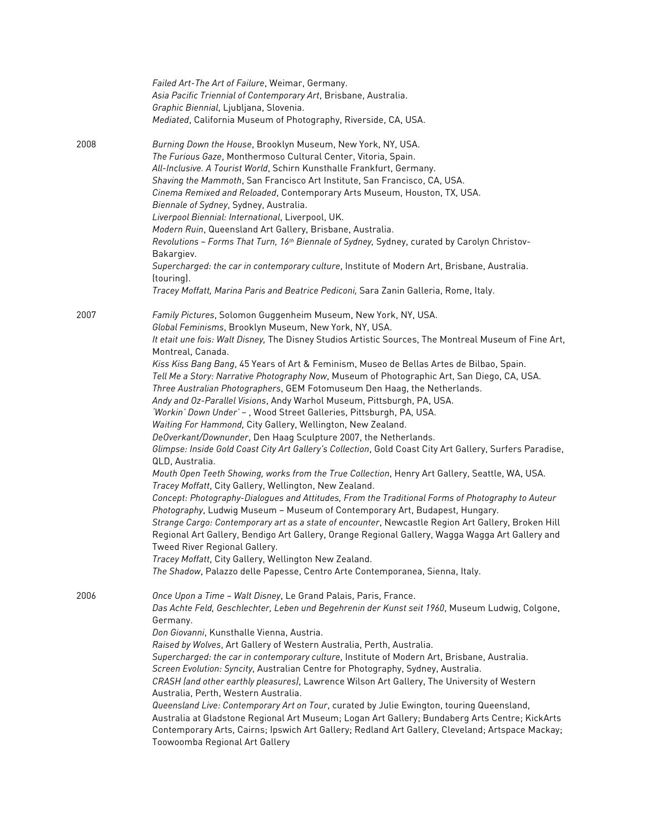|      | Failed Art-The Art of Failure, Weimar, Germany.                                                                                  |
|------|----------------------------------------------------------------------------------------------------------------------------------|
|      | Asia Pacific Triennial of Contemporary Art, Brisbane, Australia.                                                                 |
|      | Graphic Biennial, Ljubljana, Slovenia.                                                                                           |
|      | Mediated, California Museum of Photography, Riverside, CA, USA.                                                                  |
| 2008 | Burning Down the House, Brooklyn Museum, New York, NY, USA.                                                                      |
|      | The Furious Gaze, Monthermoso Cultural Center, Vitoria, Spain.                                                                   |
|      | All-Inclusive. A Tourist World, Schirn Kunsthalle Frankfurt, Germany.                                                            |
|      | Shaving the Mammoth, San Francisco Art Institute, San Francisco, CA, USA.                                                        |
|      | Cinema Remixed and Reloaded, Contemporary Arts Museum, Houston, TX, USA.                                                         |
|      | Biennale of Sydney, Sydney, Australia.                                                                                           |
|      | Liverpool Biennial: International, Liverpool, UK.                                                                                |
|      | Modern Ruin, Queensland Art Gallery, Brisbane, Australia.                                                                        |
|      | Revolutions - Forms That Turn, 16 <sup>th</sup> Biennale of Sydney, Sydney, curated by Carolyn Christov-                         |
|      | Bakargiev.                                                                                                                       |
|      | Supercharged: the car in contemporary culture, Institute of Modern Art, Brisbane, Australia.<br>(touring).                       |
|      | Tracey Moffatt, Marina Paris and Beatrice Pediconi, Sara Zanin Galleria, Rome, Italy.                                            |
| 2007 | Family Pictures, Solomon Guggenheim Museum, New York, NY, USA.                                                                   |
|      | Global Feminisms, Brooklyn Museum, New York, NY, USA.                                                                            |
|      | It etait une fois: Walt Disney, The Disney Studios Artistic Sources, The Montreal Museum of Fine Art,                            |
|      | Montreal, Canada.                                                                                                                |
|      | Kiss Kiss Bang Bang, 45 Years of Art & Feminism, Museo de Bellas Artes de Bilbao, Spain.                                         |
|      | Tell Me a Story: Narrative Photography Now, Museum of Photographic Art, San Diego, CA, USA.                                      |
|      | Three Australian Photographers, GEM Fotomuseum Den Haag, the Netherlands.                                                        |
|      | Andy and Oz-Parallel Visions, Andy Warhol Museum, Pittsburgh, PA, USA.                                                           |
|      | 'Workin' Down Under' - , Wood Street Galleries, Pittsburgh, PA, USA.                                                             |
|      | Waiting For Hammond, City Gallery, Wellington, New Zealand.                                                                      |
|      | DeOverkant/Downunder, Den Haag Sculpture 2007, the Netherlands.                                                                  |
|      | Glimpse: Inside Gold Coast City Art Gallery's Collection, Gold Coast City Art Gallery, Surfers Paradise,<br>QLD, Australia.      |
|      | Mouth Open Teeth Showing, works from the True Collection, Henry Art Gallery, Seattle, WA, USA.                                   |
|      | Tracey Moffatt, City Gallery, Wellington, New Zealand.                                                                           |
|      | Concept: Photography-Dialogues and Attitudes, From the Traditional Forms of Photography to Auteur                                |
|      | Photography, Ludwig Museum - Museum of Contemporary Art, Budapest, Hungary.                                                      |
|      | Strange Cargo: Contemporary art as a state of encounter, Newcastle Region Art Gallery, Broken Hill                               |
|      | Regional Art Gallery, Bendigo Art Gallery, Orange Regional Gallery, Wagga Wagga Art Gallery and<br>Tweed River Regional Gallery. |
|      | Tracey Moffatt, City Gallery, Wellington New Zealand.                                                                            |
|      | The Shadow, Palazzo delle Papesse, Centro Arte Contemporanea, Sienna, Italy.                                                     |
| 2006 | Once Upon a Time - Walt Disney, Le Grand Palais, Paris, France.                                                                  |
|      | Das Achte Feld, Geschlechter, Leben und Begehrenin der Kunst seit 1960, Museum Ludwig, Colgone,<br>Germany.                      |
|      | Don Giovanni, Kunsthalle Vienna, Austria.                                                                                        |
|      | Raised by Wolves, Art Gallery of Western Australia, Perth, Australia.                                                            |
|      | Supercharged: the car in contemporary culture, Institute of Modern Art, Brisbane, Australia.                                     |
|      | Screen Evolution: Syncity, Australian Centre for Photography, Sydney, Australia.                                                 |
|      | CRASH (and other earthly pleasures), Lawrence Wilson Art Gallery, The University of Western                                      |
|      | Australia, Perth, Western Australia.                                                                                             |
|      | Queensland Live: Contemporary Art on Tour, curated by Julie Ewington, touring Queensland,                                        |
|      | Australia at Gladstone Regional Art Museum; Logan Art Gallery; Bundaberg Arts Centre; KickArts                                   |
|      | Contemporary Arts, Cairns; Ipswich Art Gallery; Redland Art Gallery, Cleveland; Artspace Mackay;                                 |
|      | Toowoomba Regional Art Gallery                                                                                                   |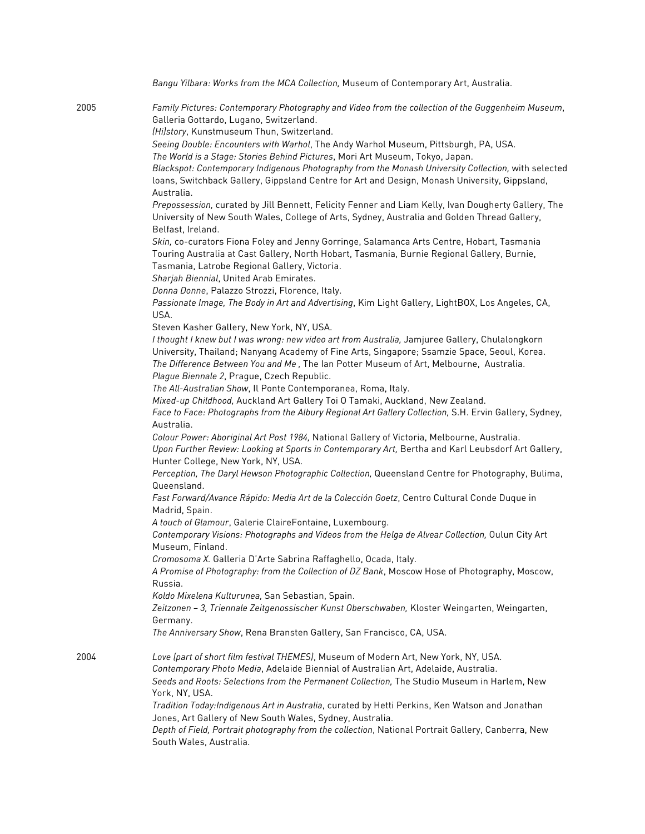| Bangu Yilbara: Works from the MCA Collection, Museum of Contemporary Art, Australia.                                                                                                                                                                                                                                                   |
|----------------------------------------------------------------------------------------------------------------------------------------------------------------------------------------------------------------------------------------------------------------------------------------------------------------------------------------|
| Family Pictures: Contemporary Photography and Video from the collection of the Guggenheim Museum,<br>Galleria Gottardo, Lugano, Switzerland.                                                                                                                                                                                           |
| (Hi)story, Kunstmuseum Thun, Switzerland.                                                                                                                                                                                                                                                                                              |
| Seeing Double: Encounters with Warhol, The Andy Warhol Museum, Pittsburgh, PA, USA.<br>The World is a Stage: Stories Behind Pictures, Mori Art Museum, Tokyo, Japan.                                                                                                                                                                   |
| Blackspot: Contemporary Indigenous Photography from the Monash University Collection, with selected<br>loans, Switchback Gallery, Gippsland Centre for Art and Design, Monash University, Gippsland,<br>Australia.                                                                                                                     |
| Prepossession, curated by Jill Bennett, Felicity Fenner and Liam Kelly, Ivan Dougherty Gallery, The<br>University of New South Wales, College of Arts, Sydney, Australia and Golden Thread Gallery,<br>Belfast, Ireland.                                                                                                               |
| Skin, co-curators Fiona Foley and Jenny Gorringe, Salamanca Arts Centre, Hobart, Tasmania<br>Touring Australia at Cast Gallery, North Hobart, Tasmania, Burnie Regional Gallery, Burnie,<br>Tasmania, Latrobe Regional Gallery, Victoria.<br>Sharjah Biennial, United Arab Emirates.                                                   |
| Donna Donne, Palazzo Strozzi, Florence, Italy.                                                                                                                                                                                                                                                                                         |
| Passionate Image, The Body in Art and Advertising, Kim Light Gallery, LightBOX, Los Angeles, CA,<br>USA.                                                                                                                                                                                                                               |
| Steven Kasher Gallery, New York, NY, USA.                                                                                                                                                                                                                                                                                              |
| I thought I knew but I was wrong: new video art from Australia, Jamjuree Gallery, Chulalongkorn<br>University, Thailand; Nanyang Academy of Fine Arts, Singapore; Ssamzie Space, Seoul, Korea.<br>The Difference Between You and Me, The Ian Potter Museum of Art, Melbourne, Australia.<br>Plague Biennale 2, Prague, Czech Republic. |
| The All-Australian Show, Il Ponte Contemporanea, Roma, Italy.                                                                                                                                                                                                                                                                          |
| Mixed-up Childhood, Auckland Art Gallery Toi O Tamaki, Auckland, New Zealand.                                                                                                                                                                                                                                                          |
| Face to Face: Photographs from the Albury Regional Art Gallery Collection, S.H. Ervin Gallery, Sydney,<br>Australia.                                                                                                                                                                                                                   |
| Colour Power: Aboriginal Art Post 1984, National Gallery of Victoria, Melbourne, Australia.<br>Upon Further Review: Looking at Sports in Contemporary Art, Bertha and Karl Leubsdorf Art Gallery,<br>Hunter College, New York, NY, USA.                                                                                                |
| Perception, The Daryl Hewson Photographic Collection, Queensland Centre for Photography, Bulima,<br>Queensland.                                                                                                                                                                                                                        |
| Fast Forward/Avance Rápido: Media Art de la Colección Goetz, Centro Cultural Conde Duque in<br>Madrid, Spain.                                                                                                                                                                                                                          |
| A touch of Glamour, Galerie ClaireFontaine, Luxembourg.                                                                                                                                                                                                                                                                                |
| Contemporary Visions: Photographs and Videos from the Helga de Alvear Collection, Oulun City Art<br>Museum, Finland.                                                                                                                                                                                                                   |
| Cromosoma X. Galleria D'Arte Sabrina Raffaghello, Ocada, Italy.                                                                                                                                                                                                                                                                        |
| A Promise of Photography: from the Collection of DZ Bank, Moscow Hose of Photography, Moscow,<br>Russia.                                                                                                                                                                                                                               |
| Koldo Mixelena Kulturunea, San Sebastian, Spain.                                                                                                                                                                                                                                                                                       |
| Zeitzonen - 3, Triennale Zeitgenossischer Kunst Oberschwaben, Kloster Weingarten, Weingarten,<br>Germany.                                                                                                                                                                                                                              |
| The Anniversary Show, Rena Bransten Gallery, San Francisco, CA, USA.                                                                                                                                                                                                                                                                   |
| Love (part of short film festival THEMES), Museum of Modern Art, New York, NY, USA.                                                                                                                                                                                                                                                    |
| Contemporary Photo Media, Adelaide Biennial of Australian Art, Adelaide, Australia.<br>Seeds and Roots: Selections from the Permanent Collection, The Studio Museum in Harlem, New<br>York, NY, USA.                                                                                                                                   |
| Tradition Today: Indigenous Art in Australia, curated by Hetti Perkins, Ken Watson and Jonathan<br>Jones, Art Gallery of New South Wales, Sydney, Australia.                                                                                                                                                                           |
| Depth of Field, Portrait photography from the collection, National Portrait Gallery, Canberra, New<br>South Wales, Australia.                                                                                                                                                                                                          |
|                                                                                                                                                                                                                                                                                                                                        |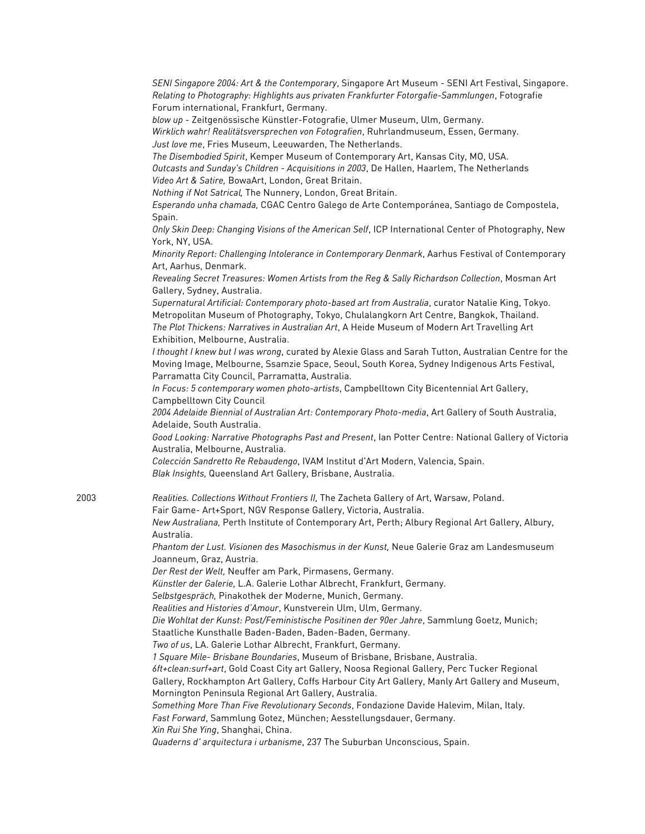*SENI Singapore 2004: Art & the Contemporary*, Singapore Art Museum - SENI Art Festival, Singapore. *Relating to Photography: Highlights aus privaten Frankfurter Fotorgafie-Sammlungen*, Fotografie Forum international, Frankfurt, Germany.

*blow up* - Zeitgenössische Künstler-Fotografie, Ulmer Museum, Ulm, Germany. *Wirklich wahr! Realitätsversprechen von Fotografien*, Ruhrlandmuseum, Essen, Germany. *Just love me*, Fries Museum, Leeuwarden, The Netherlands.

*The Disembodied Spirit*, Kemper Museum of Contemporary Art, Kansas City, MO, USA. *Outcasts and Sunday's Children - Acquisitions in 2003*, De Hallen, Haarlem, The Netherlands *Video Art & Satire,* BowaArt, London, Great Britain.

*Nothing if Not Satrical,* The Nunnery, London, Great Britain.

*Esperando unha chamada,* CGAC Centro Galego de Arte Contemporánea, Santiago de Compostela, Spain.

*Only Skin Deep: Changing Visions of the American Self*, ICP International Center of Photography, New York, NY, USA.

*Minority Report: Challenging Intolerance in Contemporary Denmark*, Aarhus Festival of Contemporary Art, Aarhus, Denmark.

*Revealing Secret Treasures: Women Artists from the Reg & Sally Richardson Collection*, Mosman Art Gallery, Sydney, Australia.

*Supernatural Artificial: Contemporary photo-based art from Australia*, curator Natalie King, Tokyo. Metropolitan Museum of Photography, Tokyo, Chulalangkorn Art Centre, Bangkok, Thailand. *The Plot Thickens: Narratives in Australian Art*, A Heide Museum of Modern Art Travelling Art Exhibition, Melbourne, Australia.

*I thought I knew but I was wrong*, curated by Alexie Glass and Sarah Tutton, Australian Centre for the Moving Image, Melbourne, Ssamzie Space, Seoul, South Korea, Sydney Indigenous Arts Festival, Parramatta City Council, Parramatta, Australia.

*In Focus: 5 contemporary women photo-artists*, Campbelltown City Bicentennial Art Gallery, Campbelltown City Council

*2004 Adelaide Biennial of Australian Art: Contemporary Photo-media*, Art Gallery of South Australia, Adelaide, South Australia.

*Good Looking: Narrative Photographs Past and Present*, Ian Potter Centre: National Gallery of Victoria Australia, Melbourne, Australia.

*Colección Sandretto Re Rebaudengo*, IVAM Institut d'Art Modern, Valencia, Spain. *Blak Insights,* Queensland Art Gallery, Brisbane, Australia.

2003 *Realities. Collections Without Frontiers II,* The Zacheta Gallery of Art, Warsaw, Poland.

Fair Game- Art+Sport, NGV Response Gallery, Victoria, Australia.

*New Australiana,* Perth Institute of Contemporary Art, Perth; Albury Regional Art Gallery, Albury, Australia.

*Phantom der Lust. Visionen des Masochismus in der Kunst,* Neue Galerie Graz am Landesmuseum Joanneum, Graz, Austria.

*Der Rest der Welt,* Neuffer am Park, Pirmasens, Germany.

*Künstler der Galerie,* L.A. Galerie Lothar Albrecht, Frankfurt, Germany.

*Selbstgespräch,* Pinakothek der Moderne, Munich, Germany.

*Realities and Histories d'Amour*, Kunstverein Ulm, Ulm, Germany.

*Die Wohltat der Kunst: Post/Feministische Positinen der 90er Jahre*, Sammlung Goetz, Munich;

Staatliche Kunsthalle Baden-Baden, Baden-Baden, Germany.

*Two of us*, LA. Galerie Lothar Albrecht, Frankfurt, Germany.

*1 Square Mile- Brisbane Boundaries*, Museum of Brisbane, Brisbane, Australia.

*6ft+clean:surf+art*, Gold Coast City art Gallery, Noosa Regional Gallery, Perc Tucker Regional

Gallery, Rockhampton Art Gallery, Coffs Harbour City Art Gallery, Manly Art Gallery and Museum, Mornington Peninsula Regional Art Gallery, Australia.

*Something More Than Five Revolutionary Seconds*, Fondazione Davide Halevim, Milan, Italy.

*Fast Forward*, Sammlung Gotez, München; Aesstellungsdauer, Germany.

*Xin Rui She Ying*, Shanghai, China.

*Quaderns d' arquitectura i urbanisme*, 237 The Suburban Unconscious, Spain.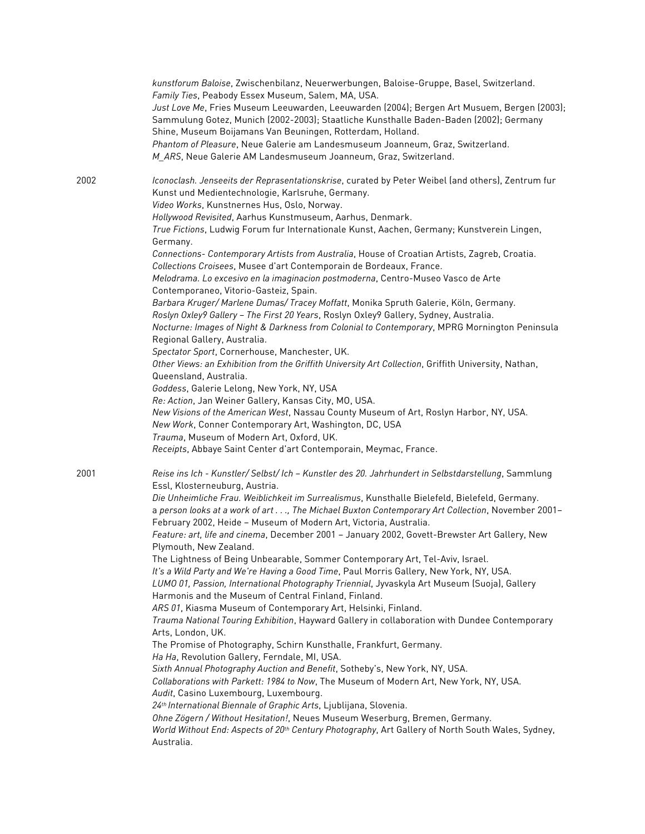|      | kunstforum Baloise, Zwischenbilanz, Neuerwerbungen, Baloise-Gruppe, Basel, Switzerland.<br>Family Ties, Peabody Essex Museum, Salem, MA, USA.<br>Just Love Me, Fries Museum Leeuwarden, Leeuwarden (2004); Bergen Art Musuem, Bergen (2003);<br>Sammulung Gotez, Munich (2002-2003); Staatliche Kunsthalle Baden-Baden (2002); Germany<br>Shine, Museum Boijamans Van Beuningen, Rotterdam, Holland.<br>Phantom of Pleasure, Neue Galerie am Landesmuseum Joanneum, Graz, Switzerland.<br>M_ARS, Neue Galerie AM Landesmuseum Joanneum, Graz, Switzerland.                                                                                                                                                                                                                                                                                                                                                                                                                                                                                                                                                                                                                                                                                                                                                                                                                                                                                                                                                                                                                                                                                                                                        |
|------|---------------------------------------------------------------------------------------------------------------------------------------------------------------------------------------------------------------------------------------------------------------------------------------------------------------------------------------------------------------------------------------------------------------------------------------------------------------------------------------------------------------------------------------------------------------------------------------------------------------------------------------------------------------------------------------------------------------------------------------------------------------------------------------------------------------------------------------------------------------------------------------------------------------------------------------------------------------------------------------------------------------------------------------------------------------------------------------------------------------------------------------------------------------------------------------------------------------------------------------------------------------------------------------------------------------------------------------------------------------------------------------------------------------------------------------------------------------------------------------------------------------------------------------------------------------------------------------------------------------------------------------------------------------------------------------------------|
| 2002 | Iconoclash. Jenseeits der Reprasentationskrise, curated by Peter Weibel (and others), Zentrum fur<br>Kunst und Medientechnologie, Karlsruhe, Germany.<br>Video Works, Kunstnernes Hus, Oslo, Norway.<br>Hollywood Revisited, Aarhus Kunstmuseum, Aarhus, Denmark.<br>True Fictions, Ludwig Forum fur Internationale Kunst, Aachen, Germany; Kunstverein Lingen,<br>Germany.<br>Connections- Contemporary Artists from Australia, House of Croatian Artists, Zagreb, Croatia.<br>Collections Croisees, Musee d'art Contemporain de Bordeaux, France.<br>Melodrama. Lo excesivo en la imaginacion postmoderna, Centro-Museo Vasco de Arte<br>Contemporaneo, Vitorio-Gasteiz, Spain.<br>Barbara Kruger/ Marlene Dumas/ Tracey Moffatt, Monika Spruth Galerie, Köln, Germany.<br>Roslyn Oxley9 Gallery - The First 20 Years, Roslyn Oxley9 Gallery, Sydney, Australia.<br>Nocturne: Images of Night & Darkness from Colonial to Contemporary, MPRG Mornington Peninsula<br>Regional Gallery, Australia.<br>Spectator Sport, Cornerhouse, Manchester, UK.<br>Other Views: an Exhibition from the Griffith University Art Collection, Griffith University, Nathan,<br>Queensland, Australia.<br>Goddess, Galerie Lelong, New York, NY, USA                                                                                                                                                                                                                                                                                                                                                                                                                                                              |
|      | Re: Action, Jan Weiner Gallery, Kansas City, MO, USA.<br>New Visions of the American West, Nassau County Museum of Art, Roslyn Harbor, NY, USA.<br>New Work, Conner Contemporary Art, Washington, DC, USA<br>Trauma, Museum of Modern Art, Oxford, UK.<br>Receipts, Abbaye Saint Center d'art Contemporain, Meymac, France.                                                                                                                                                                                                                                                                                                                                                                                                                                                                                                                                                                                                                                                                                                                                                                                                                                                                                                                                                                                                                                                                                                                                                                                                                                                                                                                                                                       |
| 2001 | Reise ins Ich - Kunstler/ Selbst/ Ich - Kunstler des 20. Jahrhundert in Selbstdarstellung, Sammlung<br>Essl, Klosterneuburg, Austria.<br>Die Unheimliche Frau. Weiblichkeit im Surrealismus, Kunsthalle Bielefeld, Bielefeld, Germany.<br>a person looks at a work of art, The Michael Buxton Contemporary Art Collection, November 2001-<br>February 2002, Heide - Museum of Modern Art, Victoria, Australia.<br>Feature: art, life and cinema, December 2001 - January 2002, Govett-Brewster Art Gallery, New<br>Plymouth. New Zealand.<br>The Lightness of Being Unbearable, Sommer Contemporary Art, Tel-Aviv, Israel.<br>It's a Wild Party and We're Having a Good Time, Paul Morris Gallery, New York, NY, USA.<br>LUMO 01, Passion, International Photography Triennial, Jyvaskyla Art Museum (Suoja), Gallery<br>Harmonis and the Museum of Central Finland, Finland.<br>ARS 01, Kiasma Museum of Contemporary Art, Helsinki, Finland.<br>Trauma National Touring Exhibition, Hayward Gallery in collaboration with Dundee Contemporary<br>Arts, London, UK.<br>The Promise of Photography, Schirn Kunsthalle, Frankfurt, Germany.<br>Ha Ha, Revolution Gallery, Ferndale, MI, USA.<br>Sixth Annual Photography Auction and Benefit, Sotheby's, New York, NY, USA.<br>Collaborations with Parkett: 1984 to Now, The Museum of Modern Art, New York, NY, USA.<br>Audit, Casino Luxembourg, Luxembourg.<br>24th International Biennale of Graphic Arts, Ljublijana, Slovenia.<br>Ohne Zögern / Without Hesitation!, Neues Museum Weserburg, Bremen, Germany.<br>World Without End: Aspects of 20 <sup>th</sup> Century Photography, Art Gallery of North South Wales, Sydney,<br>Australia. |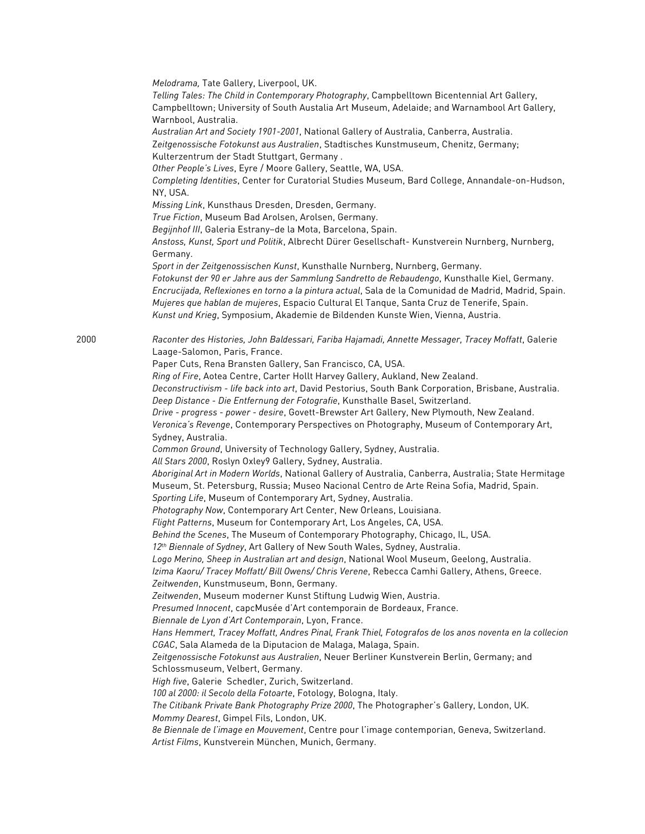*Melodrama,* Tate Gallery, Liverpool, UK. *Telling Tales: The Child in Contemporary Photography*, Campbelltown Bicentennial Art Gallery, Campbelltown; University of South Austalia Art Museum, Adelaide; and Warnambool Art Gallery, Warnbool, Australia. *Australian Art and Society 1901-2001*, National Gallery of Australia, Canberra, Australia. Z*eitgenossische Fotokunst aus Australien*, Stadtisches Kunstmuseum, Chenitz, Germany; Kulterzentrum der Stadt Stuttgart, Germany . *Other People's Lives*, Eyre / Moore Gallery, Seattle, WA, USA. *Completing Identities*, Center for Curatorial Studies Museum, Bard College, Annandale-on-Hudson, NY, USA. *Missing Link*, Kunsthaus Dresden, Dresden, Germany. *True Fiction*, Museum Bad Arolsen, Arolsen, Germany. *Begijnhof III*, Galeria Estrany–de la Mota, Barcelona, Spain. *Anstoss, Kunst, Sport und Politik*, Albrecht Dürer Gesellschaft- Kunstverein Nurnberg, Nurnberg, Germany. *Sport in der Zeitgenossischen Kunst*, Kunsthalle Nurnberg, Nurnberg, Germany. *Fotokunst der 90 er Jahre aus der Sammlung Sandretto de Rebaudengo*, Kunsthalle Kiel, Germany. *Encrucijada, Reflexiones en torno a la pintura actual*, Sala de la Comunidad de Madrid, Madrid, Spain. *Mujeres que hablan de mujeres*, Espacio Cultural El Tanque, Santa Cruz de Tenerife, Spain. *Kunst und Krieg*, Symposium, Akademie de Bildenden Kunste Wien, Vienna, Austria. 2000 *Raconter des Histories, John Baldessari, Fariba Hajamadi, Annette Messager, Tracey Moffatt*, Galerie Laage-Salomon, Paris, France. Paper Cuts, Rena Bransten Gallery, San Francisco, CA, USA. *Ring of Fire*, Aotea Centre, Carter Hollt Harvey Gallery, Aukland, New Zealand. *Deconstructivism - life back into art*, David Pestorius, South Bank Corporation, Brisbane, Australia. *Deep Distance - Die Entfernung der Fotografie*, Kunsthalle Basel, Switzerland. *Drive - progress - power - desire*, Govett-Brewster Art Gallery, New Plymouth, New Zealand. *Veronica's Revenge*, Contemporary Perspectives on Photography, Museum of Contemporary Art, Sydney, Australia. *Common Ground*, University of Technology Gallery, Sydney, Australia. *All Stars 2000*, Roslyn Oxley9 Gallery, Sydney, Australia. *Aboriginal Art in Modern Worlds*, National Gallery of Australia, Canberra, Australia; State Hermitage Museum, St. Petersburg, Russia; Museo Nacional Centro de Arte Reina Sofia, Madrid, Spain. *Sporting Life*, Museum of Contemporary Art, Sydney, Australia. *Photography Now*, Contemporary Art Center, New Orleans, Louisiana. *Flight Patterns*, Museum for Contemporary Art, Los Angeles, CA, USA. *Behind the Scenes*, The Museum of Contemporary Photography, Chicago, IL, USA. *12th Biennale of Sydney*, Art Gallery of New South Wales, Sydney, Australia. *Logo Merino, Sheep in Australian art and design*, National Wool Museum, Geelong, Australia. *Izima Kaoru/ Tracey Moffatt/ Bill Owens/ Chris Verene*, Rebecca Camhi Gallery, Athens, Greece. *Zeitwenden*, Kunstmuseum, Bonn, Germany. *Zeitwenden*, Museum moderner Kunst Stiftung Ludwig Wien, Austria. *Presumed Innocent*, capcMusée d'Art contemporain de Bordeaux, France. *Biennale de Lyon d'Art Contemporain*, Lyon, France. *Hans Hemmert, Tracey Moffatt, Andres Pinal, Frank Thiel, Fotografos de los anos noventa en la collecion CGAC*, Sala Alameda de la Diputacion de Malaga, Malaga, Spain. *Zeitgenossische Fotokunst aus Australien*, Neuer Berliner Kunstverein Berlin, Germany; and Schlossmuseum, Velbert, Germany. *High five*, Galerie Schedler, Zurich, Switzerland. *100 al 2000: il Secolo della Fotoarte*, Fotology, Bologna, Italy. *The Citibank Private Bank Photography Prize 2000*, The Photographer's Gallery, London, UK. *Mommy Dearest*, Gimpel Fils, London, UK. *8e Biennale de l'image en Mouvement*, Centre pour l'image contemporian, Geneva, Switzerland. *Artist Films*, Kunstverein München, Munich, Germany.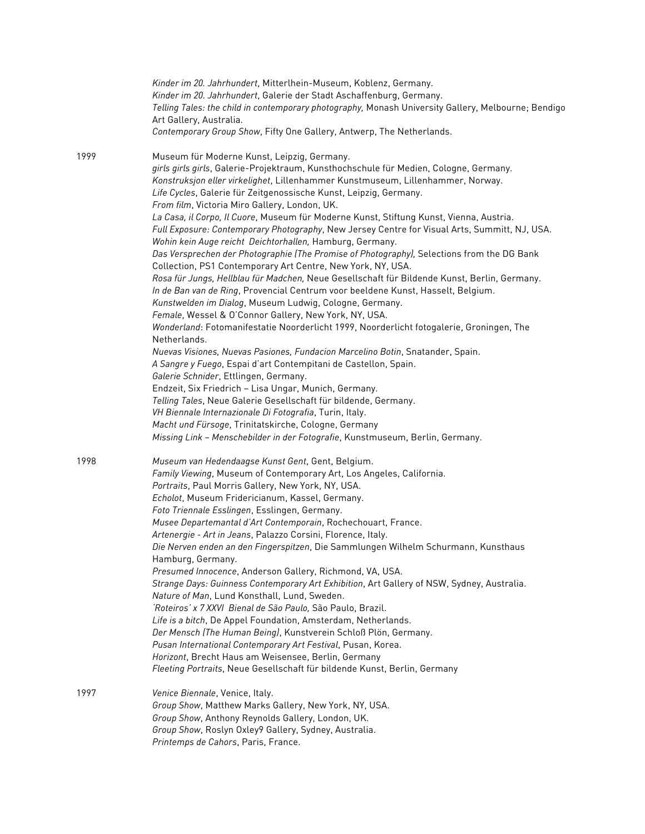|      | Kinder im 20. Jahrhundert, Mitterlhein-Museum, Koblenz, Germany.<br>Kinder im 20. Jahrhundert, Galerie der Stadt Aschaffenburg, Germany.<br>Telling Tales: the child in contemporary photography, Monash University Gallery, Melbourne; Bendigo<br>Art Gallery, Australia.<br>Contemporary Group Show, Fifty One Gallery, Antwerp, The Netherlands.                                                                                                                                                                                                                                                                                                                                                                                                                                                                                                                                                                                                                                                                                                                                                                                                                                                                                                                                                                                                                                                                                                                                                                                                                                                                                                                                                                  |
|------|----------------------------------------------------------------------------------------------------------------------------------------------------------------------------------------------------------------------------------------------------------------------------------------------------------------------------------------------------------------------------------------------------------------------------------------------------------------------------------------------------------------------------------------------------------------------------------------------------------------------------------------------------------------------------------------------------------------------------------------------------------------------------------------------------------------------------------------------------------------------------------------------------------------------------------------------------------------------------------------------------------------------------------------------------------------------------------------------------------------------------------------------------------------------------------------------------------------------------------------------------------------------------------------------------------------------------------------------------------------------------------------------------------------------------------------------------------------------------------------------------------------------------------------------------------------------------------------------------------------------------------------------------------------------------------------------------------------------|
| 1999 | Museum für Moderne Kunst, Leipzig, Germany.<br>girls girls girls, Galerie-Projektraum, Kunsthochschule für Medien, Cologne, Germany.<br>Konstruksjon eller virkelighet, Lillenhammer Kunstmuseum, Lillenhammer, Norway.<br>Life Cycles, Galerie für Zeitgenossische Kunst, Leipzig, Germany.<br>From film, Victoria Miro Gallery, London, UK.<br>La Casa, il Corpo, Il Cuore, Museum für Moderne Kunst, Stiftung Kunst, Vienna, Austria.<br>Full Exposure: Contemporary Photography, New Jersey Centre for Visual Arts, Summitt, NJ, USA.<br>Wohin kein Auge reicht Deichtorhallen, Hamburg, Germany.<br>Das Versprechen der Photographie (The Promise of Photography), Selections from the DG Bank<br>Collection, PS1 Contemporary Art Centre, New York, NY, USA.<br>Rosa für Jungs, Hellblau für Madchen, Neue Gesellschaft für Bildende Kunst, Berlin, Germany.<br>In de Ban van de Ring, Provencial Centrum voor beeldene Kunst, Hasselt, Belgium.<br>Kunstwelden im Dialog, Museum Ludwig, Cologne, Germany.<br>Female, Wessel & O'Connor Gallery, New York, NY, USA.<br>Wonderland: Fotomanifestatie Noorderlicht 1999, Noorderlicht fotogalerie, Groningen, The<br>Netherlands.<br>Nuevas Visiones, Nuevas Pasiones, Fundacion Marcelino Botin, Snatander, Spain.<br>A Sangre y Fuego, Espai d'art Contempitani de Castellon, Spain.<br>Galerie Schnider, Ettlingen, Germany.<br>Endzeit, Six Friedrich - Lisa Ungar, Munich, Germany.<br>Telling Tales, Neue Galerie Gesellschaft für bildende, Germany.<br>VH Biennale Internazionale Di Fotografia, Turin, Italy.<br>Macht und Fürsoge, Trinitatskirche, Cologne, Germany<br>Missing Link - Menschebilder in der Fotografie, Kunstmuseum, Berlin, Germany. |
| 1998 | Museum van Hedendaagse Kunst Gent, Gent, Belgium.<br>Family Viewing, Museum of Contemporary Art, Los Angeles, California.<br>Portraits, Paul Morris Gallery, New York, NY, USA.<br>Echolot, Museum Fridericianum, Kassel, Germany.<br>Foto Triennale Esslingen, Esslingen, Germany.<br>Musee Departemantal d'Art Contemporain, Rochechouart, France.<br>Artenergie - Art in Jeans, Palazzo Corsini, Florence, Italy.<br>Die Nerven enden an den Fingerspitzen, Die Sammlungen Wilhelm Schurmann, Kunsthaus<br>Hamburg, Germany.<br>Presumed Innocence, Anderson Gallery, Richmond, VA, USA.<br>Strange Days: Guinness Contemporary Art Exhibition, Art Gallery of NSW, Sydney, Australia.<br>Nature of Man, Lund Konsthall, Lund, Sweden.<br>'Roteiros' x 7 XXVI Bienal de São Paulo, São Paulo, Brazil.<br>Life is a bitch, De Appel Foundation, Amsterdam, Netherlands.<br>Der Mensch (The Human Being), Kunstverein Schloß Plön, Germany.<br>Pusan International Contemporary Art Festival, Pusan, Korea.<br>Horizont, Brecht Haus am Weisensee, Berlin, Germany<br>Fleeting Portraits, Neue Gesellschaft für bildende Kunst, Berlin, Germany                                                                                                                                                                                                                                                                                                                                                                                                                                                                                                                                                                     |
| 1997 | Venice Biennale, Venice, Italy.<br>Group Show, Matthew Marks Gallery, New York, NY, USA.<br>Group Show, Anthony Reynolds Gallery, London, UK.<br>Group Show, Roslyn Oxley9 Gallery, Sydney, Australia.<br>Printemps de Cahors, Paris, France.                                                                                                                                                                                                                                                                                                                                                                                                                                                                                                                                                                                                                                                                                                                                                                                                                                                                                                                                                                                                                                                                                                                                                                                                                                                                                                                                                                                                                                                                        |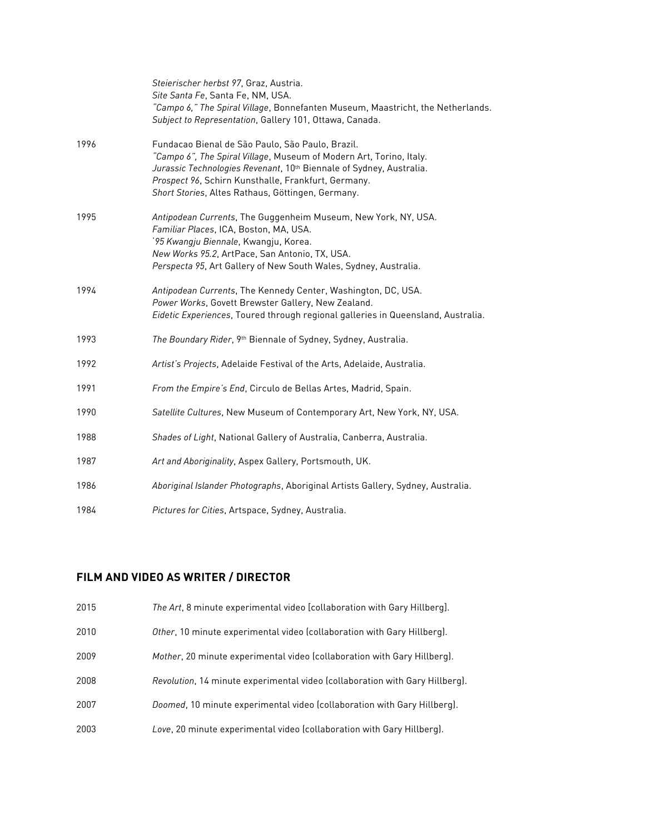|      | Steierischer herbst 97, Graz, Austria.<br>Site Santa Fe, Santa Fe, NM, USA.<br>"Campo 6," The Spiral Village, Bonnefanten Museum, Maastricht, the Netherlands.                                                                                                                                                         |
|------|------------------------------------------------------------------------------------------------------------------------------------------------------------------------------------------------------------------------------------------------------------------------------------------------------------------------|
|      | Subject to Representation, Gallery 101, Ottawa, Canada.                                                                                                                                                                                                                                                                |
| 1996 | Fundacao Bienal de São Paulo, São Paulo, Brazil.<br>"Campo 6", The Spiral Village, Museum of Modern Art, Torino, Italy.<br>Jurassic Technologies Revenant, 10 <sup>th</sup> Biennale of Sydney, Australia.<br>Prospect 96, Schirn Kunsthalle, Frankfurt, Germany.<br>Short Stories, Altes Rathaus, Göttingen, Germany. |
| 1995 | Antipodean Currents, The Guggenheim Museum, New York, NY, USA.<br>Familiar Places, ICA, Boston, MA, USA.<br>'95 Kwangju Biennale, Kwangju, Korea.<br>New Works 95.2, ArtPace, San Antonio, TX, USA.<br>Perspecta 95, Art Gallery of New South Wales, Sydney, Australia.                                                |
| 1994 | Antipodean Currents, The Kennedy Center, Washington, DC, USA.<br>Power Works, Govett Brewster Gallery, New Zealand.<br>Eidetic Experiences, Toured through regional galleries in Queensland, Australia.                                                                                                                |
| 1993 | The Boundary Rider, 9th Biennale of Sydney, Sydney, Australia.                                                                                                                                                                                                                                                         |
| 1992 | Artist's Projects, Adelaide Festival of the Arts, Adelaide, Australia.                                                                                                                                                                                                                                                 |
| 1991 | From the Empire's End, Circulo de Bellas Artes, Madrid, Spain.                                                                                                                                                                                                                                                         |
| 1990 | Satellite Cultures, New Museum of Contemporary Art, New York, NY, USA.                                                                                                                                                                                                                                                 |
| 1988 | Shades of Light, National Gallery of Australia, Canberra, Australia.                                                                                                                                                                                                                                                   |
| 1987 | Art and Aboriginality, Aspex Gallery, Portsmouth, UK.                                                                                                                                                                                                                                                                  |
| 1986 | Aboriginal Islander Photographs, Aboriginal Artists Gallery, Sydney, Australia.                                                                                                                                                                                                                                        |
| 1984 | Pictures for Cities, Artspace, Sydney, Australia.                                                                                                                                                                                                                                                                      |

## **FILM AND VIDEO AS WRITER / DIRECTOR**

- 2015 *The Art*, 8 minute experimental video [collaboration with Gary Hillberg].
- 2010 *Other*, 10 minute experimental video (collaboration with Gary Hillberg).
- 2009 *Mother*, 20 minute experimental video (collaboration with Gary Hillberg).
- 2008 *Revolution*, 14 minute experimental video (collaboration with Gary Hillberg).
- 2007 *Doomed*, 10 minute experimental video (collaboration with Gary Hillberg).
- 2003 *Love*, 20 minute experimental video (collaboration with Gary Hillberg).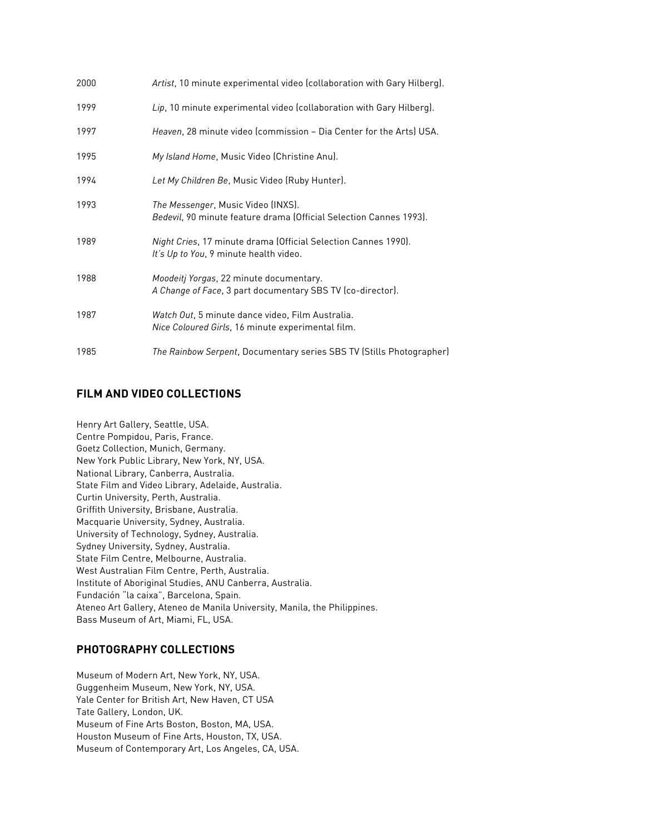| 2000 | Artist, 10 minute experimental video (collaboration with Gary Hilberg).                                  |
|------|----------------------------------------------------------------------------------------------------------|
| 1999 | Lip, 10 minute experimental video (collaboration with Gary Hilberg).                                     |
| 1997 | Heaven, 28 minute video (commission - Dia Center for the Arts) USA.                                      |
| 1995 | My Island Home, Music Video (Christine Anu).                                                             |
| 1994 | Let My Children Be, Music Video (Ruby Hunter).                                                           |
| 1993 | The Messenger, Music Video (INXS).<br>Bedevil, 90 minute feature drama (Official Selection Cannes 1993). |
| 1989 | Night Cries, 17 minute drama (Official Selection Cannes 1990).<br>It's Up to You, 9 minute health video. |
| 1988 | Moodeitj Yorgas, 22 minute documentary.<br>A Change of Face, 3 part documentary SBS TV (co-director).    |
| 1987 | Watch Out, 5 minute dance video, Film Australia.<br>Nice Coloured Girls, 16 minute experimental film.    |
| 1985 | The Rainbow Serpent, Documentary series SBS TV (Stills Photographer)                                     |

## **FILM AND VIDEO COLLECTIONS**

Henry Art Gallery, Seattle, USA. Centre Pompidou, Paris, France. Goetz Collection, Munich, Germany. New York Public Library, New York, NY, USA. National Library, Canberra, Australia. State Film and Video Library, Adelaide, Australia. Curtin University, Perth, Australia. Griffith University, Brisbane, Australia. Macquarie University, Sydney, Australia. University of Technology, Sydney, Australia. Sydney University, Sydney, Australia. State Film Centre, Melbourne, Australia. West Australian Film Centre, Perth, Australia. Institute of Aboriginal Studies, ANU Canberra, Australia. Fundación "la caixa", Barcelona, Spain. Ateneo Art Gallery, Ateneo de Manila University, Manila, the Philippines. Bass Museum of Art, Miami, FL, USA.

#### **PHOTOGRAPHY COLLECTIONS**

Museum of Modern Art, New York, NY, USA. Guggenheim Museum, New York, NY, USA. Yale Center for British Art, New Haven, CT USA Tate Gallery, London, UK. Museum of Fine Arts Boston, Boston, MA, USA. Houston Museum of Fine Arts, Houston, TX, USA. Museum of Contemporary Art, Los Angeles, CA, USA.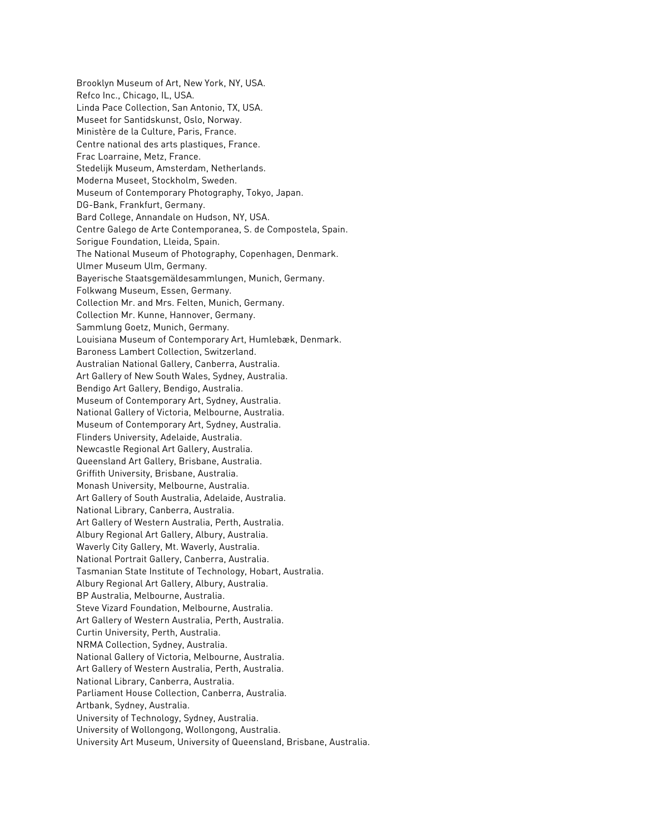Brooklyn Museum of Art, New York, NY, USA. Refco Inc., Chicago, IL, USA. Linda Pace Collection, San Antonio, TX, USA. Museet for Santidskunst, Oslo, Norway. Ministère de la Culture, Paris, France. Centre national des arts plastiques, France. Frac Loarraine, Metz, France. Stedelijk Museum, Amsterdam, Netherlands. Moderna Museet, Stockholm, Sweden. Museum of Contemporary Photography, Tokyo, Japan. DG-Bank, Frankfurt, Germany. Bard College, Annandale on Hudson, NY, USA. Centre Galego de Arte Contemporanea, S. de Compostela, Spain. Sorigue Foundation, Lleida, Spain. The National Museum of Photography, Copenhagen, Denmark. Ulmer Museum Ulm, Germany. Bayerische Staatsgemäldesammlungen, Munich, Germany. Folkwang Museum, Essen, Germany. Collection Mr. and Mrs. Felten, Munich, Germany. Collection Mr. Kunne, Hannover, Germany. Sammlung Goetz, Munich, Germany. Louisiana Museum of Contemporary Art, Humlebæk, Denmark. Baroness Lambert Collection, Switzerland. Australian National Gallery, Canberra, Australia. Art Gallery of New South Wales, Sydney, Australia. Bendigo Art Gallery, Bendigo, Australia. Museum of Contemporary Art, Sydney, Australia. National Gallery of Victoria, Melbourne, Australia. Museum of Contemporary Art, Sydney, Australia. Flinders University, Adelaide, Australia. Newcastle Regional Art Gallery, Australia. Queensland Art Gallery, Brisbane, Australia. Griffith University, Brisbane, Australia. Monash University, Melbourne, Australia. Art Gallery of South Australia, Adelaide, Australia. National Library, Canberra, Australia. Art Gallery of Western Australia, Perth, Australia. Albury Regional Art Gallery, Albury, Australia. Waverly City Gallery, Mt. Waverly, Australia. National Portrait Gallery, Canberra, Australia. Tasmanian State Institute of Technology, Hobart, Australia. Albury Regional Art Gallery, Albury, Australia. BP Australia, Melbourne, Australia. Steve Vizard Foundation, Melbourne, Australia. Art Gallery of Western Australia, Perth, Australia. Curtin University, Perth, Australia. NRMA Collection, Sydney, Australia. National Gallery of Victoria, Melbourne, Australia. Art Gallery of Western Australia, Perth, Australia. National Library, Canberra, Australia. Parliament House Collection, Canberra, Australia. Artbank, Sydney, Australia. University of Technology, Sydney, Australia. University of Wollongong, Wollongong, Australia. University Art Museum, University of Queensland, Brisbane, Australia.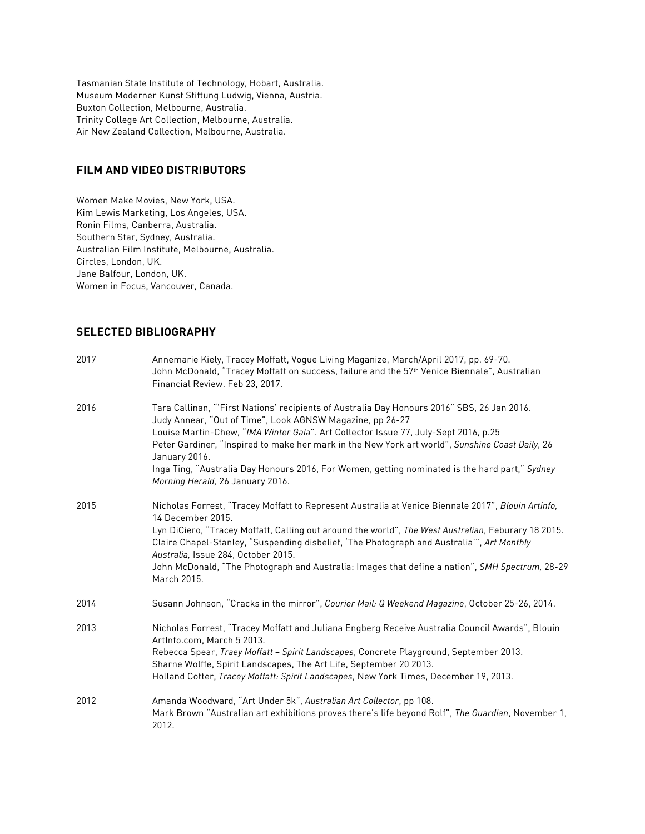Tasmanian State Institute of Technology, Hobart, Australia. Museum Moderner Kunst Stiftung Ludwig, Vienna, Austria. Buxton Collection, Melbourne, Australia. Trinity College Art Collection, Melbourne, Australia. Air New Zealand Collection, Melbourne, Australia.

#### **FILM AND VIDEO DISTRIBUTORS**

Women Make Movies, New York, USA. Kim Lewis Marketing, Los Angeles, USA. Ronin Films, Canberra, Australia. Southern Star, Sydney, Australia. Australian Film Institute, Melbourne, Australia. Circles, London, UK. Jane Balfour, London, UK. Women in Focus, Vancouver, Canada.

#### **SELECTED BIBLIOGRAPHY**

| 2017 | Annemarie Kiely, Tracey Moffatt, Vogue Living Maganize, March/April 2017, pp. 69-70.<br>John McDonald, "Tracey Moffatt on success, failure and the 57th Venice Biennale", Australian<br>Financial Review. Feb 23, 2017.                                                                                                                                                                                                                                                                                   |
|------|-----------------------------------------------------------------------------------------------------------------------------------------------------------------------------------------------------------------------------------------------------------------------------------------------------------------------------------------------------------------------------------------------------------------------------------------------------------------------------------------------------------|
| 2016 | Tara Callinan, "'First Nations' recipients of Australia Day Honours 2016" SBS, 26 Jan 2016.<br>Judy Annear, "Out of Time", Look AGNSW Magazine, pp 26-27<br>Louise Martin-Chew, "IMA Winter Gala". Art Collector Issue 77, July-Sept 2016, p.25<br>Peter Gardiner, "Inspired to make her mark in the New York art world", Sunshine Coast Daily, 26<br>January 2016.<br>Inga Ting, "Australia Day Honours 2016, For Women, getting nominated is the hard part," Sydney<br>Morning Herald, 26 January 2016. |
| 2015 | Nicholas Forrest, "Tracey Moffatt to Represent Australia at Venice Biennale 2017", Blouin Artinfo,<br>14 December 2015.<br>Lyn DiCiero, "Tracey Moffatt, Calling out around the world", The West Australian, Feburary 18 2015.<br>Claire Chapel-Stanley, "Suspending disbelief, 'The Photograph and Australia'", Art Monthly<br>Australia, Issue 284, October 2015.<br>John McDonald, "The Photograph and Australia: Images that define a nation", SMH Spectrum, 28-29<br>March 2015.                     |
| 2014 | Susann Johnson, "Cracks in the mirror", Courier Mail: Q Weekend Magazine, October 25-26, 2014.                                                                                                                                                                                                                                                                                                                                                                                                            |
| 2013 | Nicholas Forrest, "Tracey Moffatt and Juliana Engberg Receive Australia Council Awards", Blouin<br>ArtInfo.com, March 5 2013.<br>Rebecca Spear, Traey Moffatt - Spirit Landscapes, Concrete Playground, September 2013.<br>Sharne Wolffe, Spirit Landscapes, The Art Life, September 20 2013.<br>Holland Cotter, Tracey Moffatt: Spirit Landscapes, New York Times, December 19, 2013.                                                                                                                    |
| 2012 | Amanda Woodward, "Art Under 5k", Australian Art Collector, pp 108.<br>Mark Brown "Australian art exhibitions proves there's life beyond Rolf", The Guardian, November 1,<br>2012.                                                                                                                                                                                                                                                                                                                         |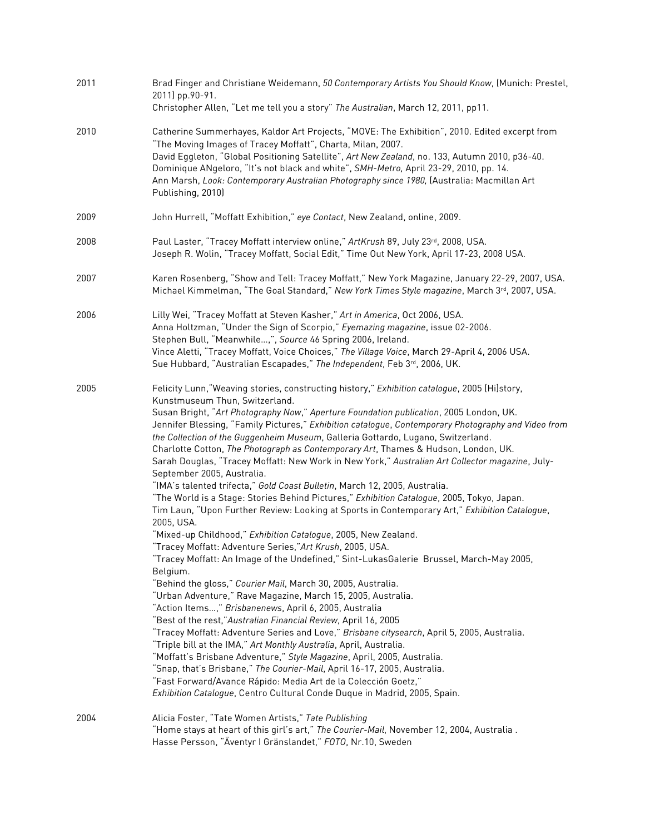| 2011 | Brad Finger and Christiane Weidemann, 50 Contemporary Artists You Should Know, (Munich: Prestel,<br>2011) pp.90-91.<br>Christopher Allen, "Let me tell you a story" The Australian, March 12, 2011, pp11.                                                                                                                                                                                                                                                                                                                                                                                                                                                                                                                                                                                                                                                                                                                                                                                                                                                                                                                                                                                                                                                                                                                                                                                                                                                                                                                                                                                                                                                                                                                                                                                                                                                                                                            |
|------|----------------------------------------------------------------------------------------------------------------------------------------------------------------------------------------------------------------------------------------------------------------------------------------------------------------------------------------------------------------------------------------------------------------------------------------------------------------------------------------------------------------------------------------------------------------------------------------------------------------------------------------------------------------------------------------------------------------------------------------------------------------------------------------------------------------------------------------------------------------------------------------------------------------------------------------------------------------------------------------------------------------------------------------------------------------------------------------------------------------------------------------------------------------------------------------------------------------------------------------------------------------------------------------------------------------------------------------------------------------------------------------------------------------------------------------------------------------------------------------------------------------------------------------------------------------------------------------------------------------------------------------------------------------------------------------------------------------------------------------------------------------------------------------------------------------------------------------------------------------------------------------------------------------------|
| 2010 | Catherine Summerhayes, Kaldor Art Projects, "MOVE: The Exhibition", 2010. Edited excerpt from<br>"The Moving Images of Tracey Moffatt", Charta, Milan, 2007.<br>David Eggleton, "Global Positioning Satellite", Art New Zealand, no. 133, Autumn 2010, p36-40.<br>Dominique ANgeloro, "It's not black and white", SMH-Metro, April 23-29, 2010, pp. 14.<br>Ann Marsh, Look: Contemporary Australian Photography since 1980, (Australia: Macmillan Art<br>Publishing, 2010)                                                                                                                                                                                                                                                                                                                                                                                                                                                                                                                                                                                                                                                                                                                                                                                                                                                                                                                                                                                                                                                                                                                                                                                                                                                                                                                                                                                                                                           |
| 2009 | John Hurrell, "Moffatt Exhibition," eye Contact, New Zealand, online, 2009.                                                                                                                                                                                                                                                                                                                                                                                                                                                                                                                                                                                                                                                                                                                                                                                                                                                                                                                                                                                                                                                                                                                                                                                                                                                                                                                                                                                                                                                                                                                                                                                                                                                                                                                                                                                                                                          |
| 2008 | Paul Laster, "Tracey Moffatt interview online," ArtKrush 89, July 23rd, 2008, USA.<br>Joseph R. Wolin, "Tracey Moffatt, Social Edit," Time Out New York, April 17-23, 2008 USA.                                                                                                                                                                                                                                                                                                                                                                                                                                                                                                                                                                                                                                                                                                                                                                                                                                                                                                                                                                                                                                                                                                                                                                                                                                                                                                                                                                                                                                                                                                                                                                                                                                                                                                                                      |
| 2007 | Karen Rosenberg, "Show and Tell: Tracey Moffatt," New York Magazine, January 22-29, 2007, USA.<br>Michael Kimmelman, "The Goal Standard," New York Times Style magazine, March 3rd, 2007, USA.                                                                                                                                                                                                                                                                                                                                                                                                                                                                                                                                                                                                                                                                                                                                                                                                                                                                                                                                                                                                                                                                                                                                                                                                                                                                                                                                                                                                                                                                                                                                                                                                                                                                                                                       |
| 2006 | Lilly Wei, "Tracey Moffatt at Steven Kasher," Art in America, Oct 2006, USA.<br>Anna Holtzman, "Under the Sign of Scorpio," Eyemazing magazine, issue 02-2006.<br>Stephen Bull, "Meanwhile,", Source 46 Spring 2006, Ireland.<br>Vince Aletti, "Tracey Moffatt, Voice Choices," The Village Voice, March 29-April 4, 2006 USA.<br>Sue Hubbard, "Australian Escapades," The Independent, Feb 3rd, 2006, UK.                                                                                                                                                                                                                                                                                                                                                                                                                                                                                                                                                                                                                                                                                                                                                                                                                                                                                                                                                                                                                                                                                                                                                                                                                                                                                                                                                                                                                                                                                                           |
| 2005 | Felicity Lunn, "Weaving stories, constructing history," Exhibition catalogue, 2005 (Hi)story,<br>Kunstmuseum Thun, Switzerland.<br>Susan Bright, "Art Photography Now," Aperture Foundation publication, 2005 London, UK.<br>Jennifer Blessing, "Family Pictures," Exhibition catalogue, Contemporary Photography and Video from<br>the Collection of the Guggenheim Museum, Galleria Gottardo, Lugano, Switzerland.<br>Charlotte Cotton, The Photograph as Contemporary Art, Thames & Hudson, London, UK.<br>Sarah Douglas, "Tracey Moffatt: New Work in New York," Australian Art Collector magazine, July-<br>September 2005, Australia.<br>"IMA's talented trifecta," Gold Coast Bulletin, March 12, 2005, Australia.<br>"The World is a Stage: Stories Behind Pictures," Exhibition Catalogue, 2005, Tokyo, Japan.<br>Tim Laun, "Upon Further Review: Looking at Sports in Contemporary Art," Exhibition Catalogue,<br>2005, USA.<br>"Mixed-up Childhood," Exhibition Catalogue, 2005, New Zealand.<br>"Tracey Moffatt: Adventure Series," Art Krush, 2005, USA.<br>"Tracey Moffatt: An Image of the Undefined," Sint-LukasGalerie Brussel, March-May 2005,<br>Belgium.<br>"Behind the gloss," Courier Mail, March 30, 2005, Australia.<br>"Urban Adventure," Rave Magazine, March 15, 2005, Australia.<br>"Action Items," Brisbanenews, April 6, 2005, Australia<br>"Best of the rest," Australian Financial Review, April 16, 2005<br>"Tracey Moffatt: Adventure Series and Love," Brisbane citysearch, April 5, 2005, Australia.<br>"Triple bill at the IMA," Art Monthly Australia, April, Australia.<br>"Moffatt's Brisbane Adventure," Style Magazine, April, 2005, Australia.<br>"Snap, that's Brisbane," The Courier-Mail, April 16-17, 2005, Australia.<br>"Fast Forward/Avance Rápido: Media Art de la Colección Goetz,"<br>Exhibition Catalogue, Centro Cultural Conde Duque in Madrid, 2005, Spain. |
| 2004 | Alicia Foster, "Tate Women Artists," Tate Publishing<br>"Home stays at heart of this girl's art," The Courier-Mail, November 12, 2004, Australia.<br>Hasse Persson, "Äventyr I Gränslandet," FOTO, Nr.10, Sweden                                                                                                                                                                                                                                                                                                                                                                                                                                                                                                                                                                                                                                                                                                                                                                                                                                                                                                                                                                                                                                                                                                                                                                                                                                                                                                                                                                                                                                                                                                                                                                                                                                                                                                     |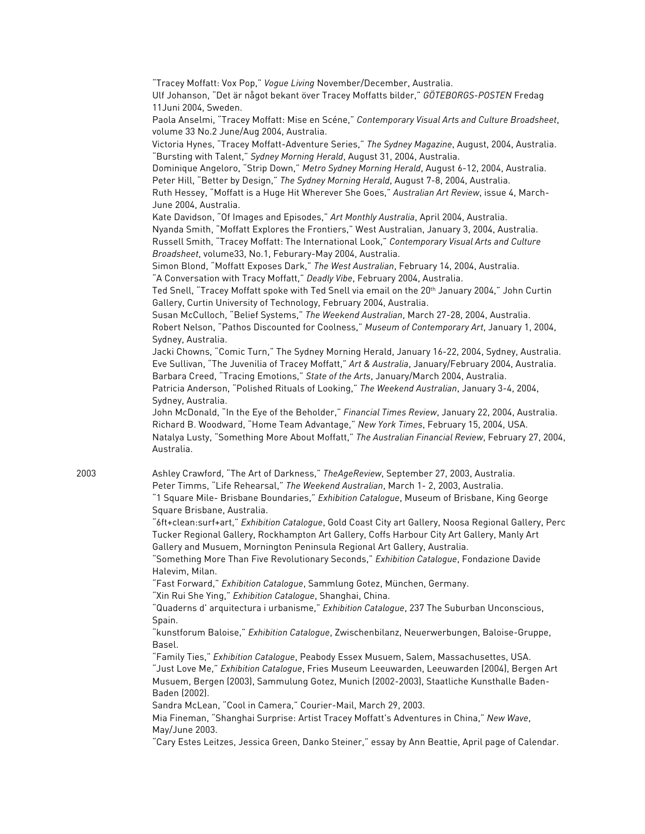"Tracey Moffatt: Vox Pop," *Vogue Living* November/December, Australia. Ulf Johanson, "Det är något bekant över Tracey Moffatts bilder," *GÖTEBORGS-POSTEN* Fredag 11Juni 2004, Sweden. Paola Anselmi, "Tracey Moffatt: Mise en Scéne," *Contemporary Visual Arts and Culture Broadsheet*, volume 33 No.2 June/Aug 2004, Australia. Victoria Hynes, "Tracey Moffatt-Adventure Series," *The Sydney Magazine*, August, 2004, Australia. "Bursting with Talent," *Sydney Morning Herald*, August 31, 2004, Australia. Dominique Angeloro, "Strip Down," *Metro Sydney Morning Herald*, August 6-12, 2004, Australia. Peter Hill, "Better by Design," *The Sydney Morning Herald*, August 7-8, 2004, Australia. Ruth Hessey, "Moffatt is a Huge Hit Wherever She Goes," *Australian Art Review*, issue 4, March-June 2004, Australia. Kate Davidson, "Of Images and Episodes," *Art Monthly Australia*, April 2004, Australia. Nyanda Smith, "Moffatt Explores the Frontiers," West Australian, January 3, 2004, Australia. Russell Smith, "Tracey Moffatt: The International Look," *Contemporary Visual Arts and Culture Broadsheet*, volume33, No.1, Feburary-May 2004, Australia. Simon Blond, "Moffatt Exposes Dark," *The West Australian*, February 14, 2004, Australia. "A Conversation with Tracy Moffatt," *Deadly Vibe*, February 2004, Australia. Ted Snell, "Tracey Moffatt spoke with Ted Snell via email on the 20th January 2004," John Curtin Gallery, Curtin University of Technology, February 2004, Australia. Susan McCulloch, "Belief Systems," *The Weekend Australian*, March 27-28, 2004, Australia. Robert Nelson, "Pathos Discounted for Coolness," *Museum of Contemporary Art*, January 1, 2004, Sydney, Australia. Jacki Chowns, "Comic Turn," The Sydney Morning Herald, January 16-22, 2004, Sydney, Australia. Eve Sullivan, "The Juvenilia of Tracey Moffatt," *Art & Australia*, January/February 2004, Australia. Barbara Creed, "Tracing Emotions," *State of the Arts*, January/March 2004, Australia. Patricia Anderson, "Polished Rituals of Looking," *The Weekend Australian*, January 3-4, 2004, Sydney, Australia. John McDonald, "In the Eye of the Beholder," *Financial Times Review*, January 22, 2004, Australia. Richard B. Woodward, "Home Team Advantage," *New York Times*, February 15, 2004, USA. Natalya Lusty, "Something More About Moffatt," *The Australian Financial Review*, February 27, 2004, Australia. 2003 Ashley Crawford, "The Art of Darkness," *TheAgeReview*, September 27, 2003, Australia. Peter Timms, "Life Rehearsal," *The Weekend Australian*, March 1- 2, 2003, Australia. "1 Square Mile- Brisbane Boundaries," *Exhibition Catalogue*, Museum of Brisbane, King George Square Brisbane, Australia. "6ft+clean:surf+art," *Exhibition Catalogue*, Gold Coast City art Gallery, Noosa Regional Gallery, Perc Tucker Regional Gallery, Rockhampton Art Gallery, Coffs Harbour City Art Gallery, Manly Art Gallery and Musuem, Mornington Peninsula Regional Art Gallery, Australia. "Something More Than Five Revolutionary Seconds," *Exhibition Catalogue*, Fondazione Davide Halevim, Milan. "Fast Forward," *Exhibition Catalogue*, Sammlung Gotez, München, Germany. "Xin Rui She Ying," *Exhibition Catalogue*, Shanghai, China. "Quaderns d' arquitectura i urbanisme," *Exhibition Catalogue*, 237 The Suburban Unconscious, Spain. "kunstforum Baloise," *Exhibition Catalogue*, Zwischenbilanz, Neuerwerbungen, Baloise-Gruppe, Basel. "Family Ties," *Exhibition Catalogue*, Peabody Essex Musuem, Salem, Massachusettes, USA. "Just Love Me," *Exhibition Catalogue*, Fries Museum Leeuwarden, Leeuwarden (2004), Bergen Art Musuem, Bergen (2003), Sammulung Gotez, Munich (2002-2003), Staatliche Kunsthalle Baden-Baden (2002). Sandra McLean, "Cool in Camera," Courier-Mail, March 29, 2003.

Mia Fineman, "Shanghai Surprise: Artist Tracey Moffatt's Adventures in China," *New Wave*, May/June 2003.

"Cary Estes Leitzes, Jessica Green, Danko Steiner," essay by Ann Beattie, April page of Calendar.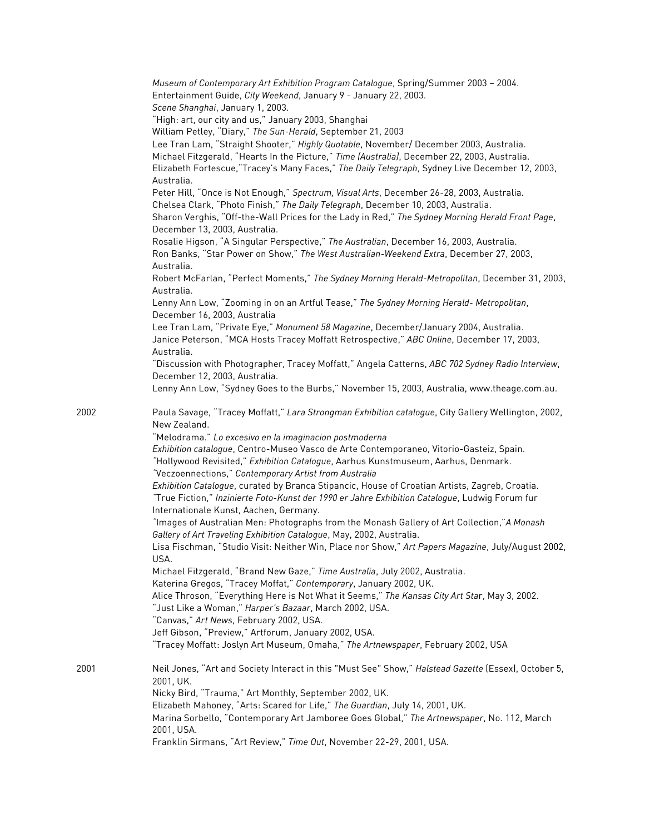|      | Museum of Contemporary Art Exhibition Program Catalogue, Spring/Summer 2003 - 2004.<br>Entertainment Guide, City Weekend, January 9 - January 22, 2003. |
|------|---------------------------------------------------------------------------------------------------------------------------------------------------------|
|      | Scene Shanghai, January 1, 2003.                                                                                                                        |
|      | "High: art, our city and us," January 2003, Shanghai                                                                                                    |
|      | William Petley, "Diary," The Sun-Herald, September 21, 2003                                                                                             |
|      | Lee Tran Lam, "Straight Shooter," Highly Quotable, November/ December 2003, Australia.                                                                  |
|      | Michael Fitzgerald, "Hearts In the Picture," Time (Australia), December 22, 2003, Australia.                                                            |
|      | Elizabeth Fortescue, "Tracey's Many Faces," The Daily Telegraph, Sydney Live December 12, 2003,                                                         |
|      | Australia.                                                                                                                                              |
|      | Peter Hill, "Once is Not Enough," Spectrum, Visual Arts, December 26-28, 2003, Australia.                                                               |
|      | Chelsea Clark, "Photo Finish," The Daily Telegraph, December 10, 2003, Australia.                                                                       |
|      | Sharon Verghis, "Off-the-Wall Prices for the Lady in Red," The Sydney Morning Herald Front Page,                                                        |
|      | December 13, 2003, Australia.                                                                                                                           |
|      | Rosalie Higson, "A Singular Perspective," The Australian, December 16, 2003, Australia.                                                                 |
|      | Ron Banks, "Star Power on Show," The West Australian-Weekend Extra, December 27, 2003,                                                                  |
|      | Australia.                                                                                                                                              |
|      | Robert McFarlan, "Perfect Moments," The Sydney Morning Herald-Metropolitan, December 31, 2003,                                                          |
|      | Australia.                                                                                                                                              |
|      | Lenny Ann Low, "Zooming in on an Artful Tease," The Sydney Morning Herald- Metropolitan,                                                                |
|      | December 16, 2003, Australia                                                                                                                            |
|      | Lee Tran Lam, "Private Eye," Monument 58 Magazine, December/January 2004, Australia.                                                                    |
|      | Janice Peterson, "MCA Hosts Tracey Moffatt Retrospective," ABC Online, December 17, 2003,                                                               |
|      | Australia.                                                                                                                                              |
|      | "Discussion with Photographer, Tracey Moffatt," Angela Catterns, ABC 702 Sydney Radio Interview,                                                        |
|      | December 12, 2003, Australia.                                                                                                                           |
|      | Lenny Ann Low, "Sydney Goes to the Burbs," November 15, 2003, Australia, www.theage.com.au.                                                             |
|      |                                                                                                                                                         |
| 2002 | Paula Savage, "Tracey Moffatt," Lara Strongman Exhibition catalogue, City Gallery Wellington, 2002,                                                     |
|      | New Zealand.                                                                                                                                            |
|      | "Melodrama." Lo excesivo en la imaginacion postmoderna                                                                                                  |
|      | Exhibition catalogue, Centro-Museo Vasco de Arte Contemporaneo, Vitorio-Gasteiz, Spain.                                                                 |
|      | "Hollywood Revisited," Exhibition Catalogue, Aarhus Kunstmuseum, Aarhus, Denmark.                                                                       |
|      | "Veczoennections," Contemporary Artist from Australia                                                                                                   |
|      | Exhibition Catalogue, curated by Branca Stipancic, House of Croatian Artists, Zagreb, Croatia.                                                          |
|      | "True Fiction," Inzinierte Foto-Kunst der 1990 er Jahre Exhibition Catalogue, Ludwig Forum fur                                                          |
|      | Internationale Kunst, Aachen, Germany.                                                                                                                  |
|      | "Images of Australian Men: Photographs from the Monash Gallery of Art Collection,"A Monash                                                              |
|      |                                                                                                                                                         |
|      | Gallery of Art Traveling Exhibition Catalogue, May, 2002, Australia.                                                                                    |
|      | Lisa Fischman, "Studio Visit: Neither Win, Place nor Show," Art Papers Magazine, July/August 2002,                                                      |
|      | USA.                                                                                                                                                    |
|      | Michael Fitzgerald, "Brand New Gaze," Time Australia, July 2002, Australia.                                                                             |
|      | Katerina Gregos, "Tracey Moffat," Contemporary, January 2002, UK.                                                                                       |
|      | Alice Throson, "Everything Here is Not What it Seems," The Kansas City Art Star, May 3, 2002.                                                           |
|      | "Just Like a Woman," Harper's Bazaar, March 2002, USA.                                                                                                  |
|      | "Canvas," Art News, February 2002, USA.                                                                                                                 |
|      | Jeff Gibson, "Preview," Artforum, January 2002, USA.                                                                                                    |
|      | "Tracey Moffatt: Joslyn Art Museum, Omaha," The Artnewspaper, February 2002, USA                                                                        |
|      |                                                                                                                                                         |
| 2001 | Neil Jones, "Art and Society Interact in this "Must See" Show," Halstead Gazette (Essex), October 5,                                                    |
|      | 2001, UK.                                                                                                                                               |
|      | Nicky Bird, "Trauma," Art Monthly, September 2002, UK.                                                                                                  |
|      | Elizabeth Mahoney, "Arts: Scared for Life," The Guardian, July 14, 2001, UK.                                                                            |
|      | Marina Sorbello, "Contemporary Art Jamboree Goes Global," The Artnewspaper, No. 112, March                                                              |
|      | 2001, USA.                                                                                                                                              |
|      | Franklin Sirmans, "Art Review," Time Out, November 22-29, 2001, USA.                                                                                    |